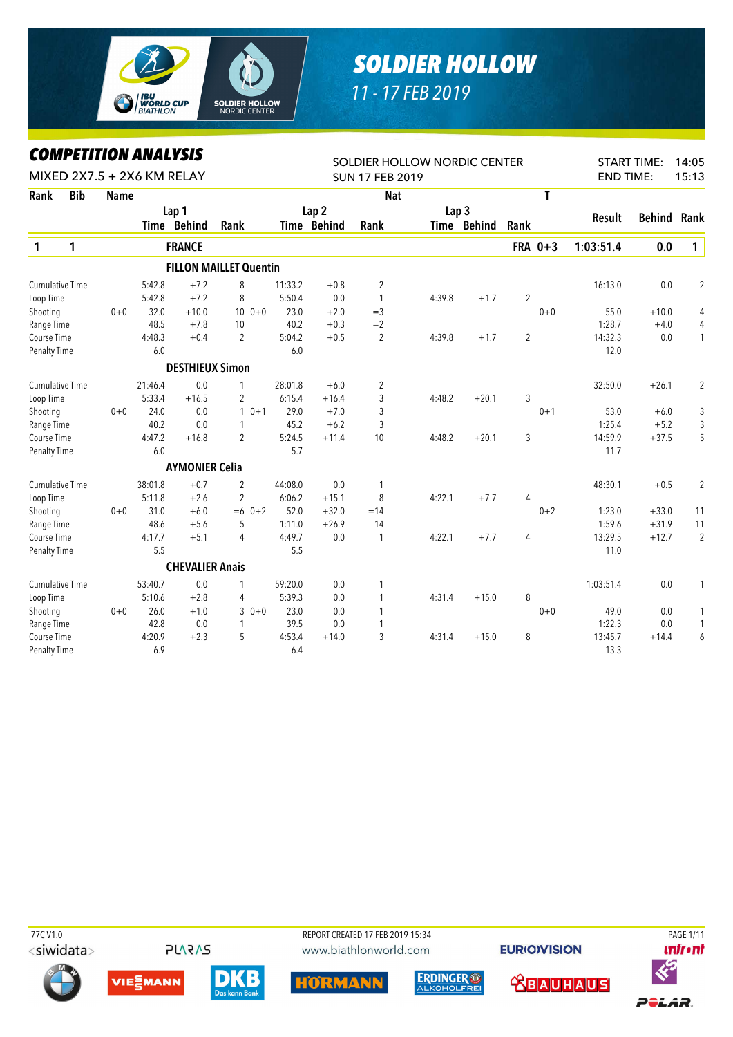

## *SOLDIER HOLLOW*

*11 - 17 FEB 2019*

## *COMPETITION ANALYSIS*

|                        |            |             | LUMPEIIIIUN ANALIYIY |                            |                               |         |                  | SOLDIER HOLLOW NORDIC CENTER |                  |             |                |         |                  | <b>START TIME:</b> | 14:05          |
|------------------------|------------|-------------|----------------------|----------------------------|-------------------------------|---------|------------------|------------------------------|------------------|-------------|----------------|---------|------------------|--------------------|----------------|
|                        |            |             |                      | MIXED 2X7.5 + 2X6 KM RELAY |                               |         |                  | <b>SUN 17 FEB 2019</b>       |                  |             |                |         | <b>END TIME:</b> |                    | 15:13          |
| Rank                   | <b>Bib</b> | <b>Name</b> |                      |                            |                               |         |                  | <b>Nat</b>                   |                  |             |                | T       |                  |                    |                |
|                        |            |             |                      | Lap 1                      |                               |         | Lap <sub>2</sub> |                              | Lap <sub>3</sub> |             |                |         |                  |                    |                |
|                        |            |             |                      | Time Behind                | Rank                          |         | Time Behind      | Rank                         |                  | Time Behind | Rank           |         | <b>Result</b>    | <b>Behind</b>      | Rank           |
| $\mathbf{1}$           | 1          |             |                      | <b>FRANCE</b>              |                               |         |                  |                              |                  |             |                | FRA 0+3 | 1:03:51.4        | 0.0                | $\mathbf{1}$   |
|                        |            |             |                      |                            | <b>FILLON MAILLET Quentin</b> |         |                  |                              |                  |             |                |         |                  |                    |                |
| <b>Cumulative Time</b> |            |             | 5:42.8               | $+7.2$                     | 8                             | 11:33.2 | $+0.8$           | 2                            |                  |             |                |         | 16:13.0          | 0.0                | 2              |
| Loop Time              |            |             | 5:42.8               | $+7.2$                     | 8                             | 5:50.4  | 0.0              | 1                            | 4:39.8           | $+1.7$      | $\overline{2}$ |         |                  |                    |                |
| Shooting               |            | $0 + 0$     | 32.0                 | $+10.0$                    | $100+0$                       | 23.0    | $+2.0$           | $=$ 3                        |                  |             |                | $0 + 0$ | 55.0             | $+10.0$            | 4              |
| Range Time             |            |             | 48.5                 | $+7.8$                     | 10                            | 40.2    | $+0.3$           | $=2$                         |                  |             |                |         | 1:28.7           | $+4.0$             | 4              |
| Course Time            |            |             | 4:48.3               | $+0.4$                     | $\overline{2}$                | 5:04.2  | $+0.5$           | $\overline{2}$               | 4:39.8           | $+1.7$      | $\overline{2}$ |         | 14:32.3          | 0.0                | 1              |
| Penalty Time           |            |             | 6.0                  |                            |                               | 6.0     |                  |                              |                  |             |                |         | 12.0             |                    |                |
|                        |            |             |                      | <b>DESTHIEUX Simon</b>     |                               |         |                  |                              |                  |             |                |         |                  |                    |                |
| <b>Cumulative Time</b> |            |             | 21:46.4              | 0.0                        | $\mathbf{1}$                  | 28:01.8 | $+6.0$           | 2                            |                  |             |                |         | 32:50.0          | $+26.1$            | 2              |
| Loop Time              |            |             | 5:33.4               | $+16.5$                    | $\overline{2}$                | 6:15.4  | $+16.4$          | 3                            | 4:48.2           | $+20.1$     | 3              |         |                  |                    |                |
| Shooting               |            | $0 + 0$     | 24.0                 | 0.0                        | $10+1$                        | 29.0    | $+7.0$           | 3                            |                  |             |                | $0 + 1$ | 53.0             | $+6.0$             | 3              |
| Range Time             |            |             | 40.2                 | 0.0                        | $\mathbf{1}$                  | 45.2    | $+6.2$           | 3                            |                  |             |                |         | 1:25.4           | $+5.2$             | 3              |
| Course Time            |            |             | 4:47.2               | $+16.8$                    | $\overline{2}$                | 5:24.5  | $+11.4$          | 10                           | 4:48.2           | $+20.1$     | 3              |         | 14:59.9          | $+37.5$            | 5              |
| Penalty Time           |            |             | 6.0                  |                            |                               | 5.7     |                  |                              |                  |             |                |         | 11.7             |                    |                |
|                        |            |             |                      | <b>AYMONIER Celia</b>      |                               |         |                  |                              |                  |             |                |         |                  |                    |                |
| <b>Cumulative Time</b> |            |             | 38:01.8              | $+0.7$                     | $\overline{2}$                | 44:08.0 | 0.0              | 1                            |                  |             |                |         | 48:30.1          | $+0.5$             | 2              |
| Loop Time              |            |             | 5:11.8               | $+2.6$                     | $\overline{2}$                | 6:06.2  | $+15.1$          | 8                            | 4:22.1           | $+7.7$      | 4              |         |                  |                    |                |
| Shooting               |            | $0 + 0$     | 31.0                 | $+6.0$                     | $=6$ 0+2                      | 52.0    | $+32.0$          | $=14$                        |                  |             |                | $0 + 2$ | 1:23.0           | $+33.0$            | 11             |
| Range Time             |            |             | 48.6                 | $+5.6$                     | 5                             | 1:11.0  | $+26.9$          | 14                           |                  |             |                |         | 1:59.6           | $+31.9$            | 11             |
| Course Time            |            |             | 4:17.7               | $+5.1$                     | $\overline{4}$                | 4:49.7  | 0.0              | 1                            | 4:22.1           | $+7.7$      | 4              |         | 13:29.5          | $+12.7$            | $\overline{2}$ |
| <b>Penalty Time</b>    |            |             | 5.5                  |                            |                               | 5.5     |                  |                              |                  |             |                |         | 11.0             |                    |                |
|                        |            |             |                      | <b>CHEVALIER Anais</b>     |                               |         |                  |                              |                  |             |                |         |                  |                    |                |
| <b>Cumulative Time</b> |            |             | 53:40.7              | 0.0                        | $\mathbf{1}$                  | 59:20.0 | 0.0              | 1                            |                  |             |                |         | 1:03:51.4        | 0.0                | 1              |
| Loop Time              |            |             | 5:10.6               | $+2.8$                     | 4                             | 5:39.3  | 0.0              | 1                            | 4:31.4           | $+15.0$     | 8              |         |                  |                    |                |
| Shooting               |            | $0 + 0$     | 26.0                 | $+1.0$                     | $30+0$                        | 23.0    | 0.0              | 1                            |                  |             |                | $0 + 0$ | 49.0             | 0.0                | 1              |
| Range Time             |            |             | 42.8                 | 0.0                        | $\mathbf{1}$                  | 39.5    | 0.0              | 1                            |                  |             |                |         | 1:22.3           | 0.0                | 1              |
| Course Time            |            |             | 4:20.9               | $+2.3$                     | 5                             | 4:53.4  | $+14.0$          | 3                            | 4:31.4           | $+15.0$     | 8              |         | 13:45.7          | $+14.4$            | 6              |
| <b>Penalty Time</b>    |            |             | 6.9                  |                            |                               | 6.4     |                  |                              |                  |             |                |         | 13.3             |                    |                |

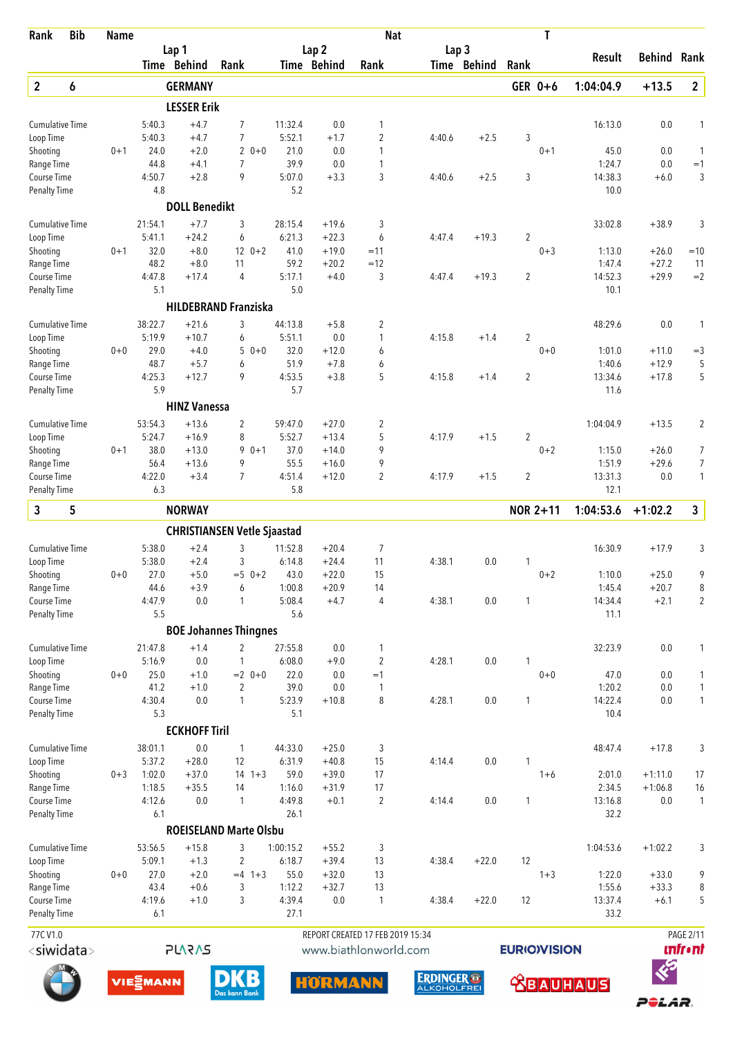| Rank                                | <b>Bib</b> | <b>Name</b> |                   |                                    |                     |                   |                    | <b>Nat</b>                       |                  |             |                | T                   |                   |                    |                   |
|-------------------------------------|------------|-------------|-------------------|------------------------------------|---------------------|-------------------|--------------------|----------------------------------|------------------|-------------|----------------|---------------------|-------------------|--------------------|-------------------|
|                                     |            |             |                   | Lap 1                              |                     |                   | Lap <sub>2</sub>   |                                  | Lap <sub>3</sub> |             |                |                     | Result            | <b>Behind Rank</b> |                   |
|                                     |            |             |                   | Time Behind                        | Rank                |                   | Time Behind        | Rank                             |                  | Time Behind | Rank           |                     |                   |                    |                   |
| $\overline{2}$                      | 6          |             |                   | <b>GERMANY</b>                     |                     |                   |                    |                                  |                  |             |                | GER 0+6             | 1:04:04.9         | $+13.5$            | $\overline{2}$    |
|                                     |            |             |                   | <b>LESSER Erik</b>                 |                     |                   |                    |                                  |                  |             |                |                     |                   |                    |                   |
| <b>Cumulative Time</b>              |            |             | 5:40.3            | $+4.7$                             | 7                   | 11:32.4           | 0.0                | 1                                |                  |             |                |                     | 16:13.0           | 0.0                | 1                 |
| Loop Time                           |            |             | 5:40.3            | $+4.7$                             | 7                   | 5:52.1            | $+1.7$             | $\overline{c}$                   | 4:40.6           | $+2.5$      | 3              |                     |                   |                    |                   |
| Shooting                            |            | $0 + 1$     | 24.0              | $+2.0$                             | $20+0$              | 21.0              | 0.0                | 1                                |                  |             |                | $0 + 1$             | 45.0              | 0.0                | 1                 |
| Range Time                          |            |             | 44.8<br>4:50.7    | $+4.1$<br>$+2.8$                   | $\overline{7}$<br>9 | 39.9<br>5:07.0    | 0.0<br>$+3.3$      | 1<br>3                           |                  | $+2.5$      | 3              |                     | 1:24.7<br>14:38.3 | 0.0<br>$+6.0$      | $=1$              |
| Course Time<br><b>Penalty Time</b>  |            |             | 4.8               |                                    |                     | 5.2               |                    |                                  | 4:40.6           |             |                |                     | 10.0              |                    | 3                 |
|                                     |            |             |                   | <b>DOLL Benedikt</b>               |                     |                   |                    |                                  |                  |             |                |                     |                   |                    |                   |
|                                     |            |             |                   |                                    |                     |                   |                    |                                  |                  |             |                |                     |                   |                    |                   |
| <b>Cumulative Time</b><br>Loop Time |            |             | 21:54.1<br>5:41.1 | $+7.7$<br>$+24.2$                  | 3<br>6              | 28:15.4<br>6:21.3 | $+19.6$<br>$+22.3$ | 3<br>6                           | 4:47.4           | $+19.3$     | $\overline{2}$ |                     | 33:02.8           | $+38.9$            | 3                 |
| Shooting                            |            | $0 + 1$     | 32.0              | $+8.0$                             | $12 \t 0+2$         | 41.0              | $+19.0$            | $=11$                            |                  |             |                | $0 + 3$             | 1:13.0            | $+26.0$            | $=10$             |
| Range Time                          |            |             | 48.2              | $+8.0$                             | 11                  | 59.2              | $+20.2$            | $=12$                            |                  |             |                |                     | 1:47.4            | $+27.2$            | 11                |
| <b>Course Time</b>                  |            |             | 4:47.8            | $+17.4$                            | 4                   | 5:17.1            | $+4.0$             | 3                                | 4:47.4           | $+19.3$     | $\overline{2}$ |                     | 14:52.3           | $+29.9$            | $=2$              |
| <b>Penalty Time</b>                 |            |             | 5.1               |                                    |                     | 5.0               |                    |                                  |                  |             |                |                     | 10.1              |                    |                   |
|                                     |            |             |                   | <b>HILDEBRAND Franziska</b>        |                     |                   |                    |                                  |                  |             |                |                     |                   |                    |                   |
| <b>Cumulative Time</b>              |            |             | 38:22.7           | $+21.6$                            | 3                   | 44:13.8           | $+5.8$             | 2                                |                  |             |                |                     | 48:29.6           | 0.0                | 1                 |
| Loop Time                           |            |             | 5:19.9            | $+10.7$                            | 6                   | 5:51.1            | 0.0                | 1                                | 4:15.8           | $+1.4$      | $\overline{2}$ |                     |                   |                    |                   |
| Shooting                            |            | $0 + 0$     | 29.0              | $+4.0$                             | 5                   | $0 + 0$<br>32.0   | $+12.0$            | 6                                |                  |             |                | $0 + 0$             | 1:01.0            | $+11.0$            | $=$ 3             |
| Range Time                          |            |             | 48.7              | $+5.7$                             | 6                   | 51.9              | $+7.8$             | 6                                |                  |             |                |                     | 1:40.6            | $+12.9$            | 5                 |
| <b>Course Time</b>                  |            |             | 4:25.3            | $+12.7$                            | 9                   | 4:53.5            | $+3.8$             | 5                                | 4:15.8           | $+1.4$      | 2              |                     | 13:34.6           | $+17.8$            | 5                 |
| <b>Penalty Time</b>                 |            |             | 5.9               |                                    |                     | 5.7               |                    |                                  |                  |             |                |                     | 11.6              |                    |                   |
|                                     |            |             |                   | <b>HINZ Vanessa</b>                |                     |                   |                    |                                  |                  |             |                |                     |                   |                    |                   |
| <b>Cumulative Time</b>              |            |             | 53:54.3           | $+13.6$                            | 2                   | 59:47.0           | $+27.0$            | 2                                |                  |             |                |                     | 1:04:04.9         | $+13.5$            | $\overline{2}$    |
| Loop Time                           |            |             | 5:24.7            | $+16.9$                            | 8                   | 5:52.7            | $+13.4$            | 5                                | 4:17.9           | $+1.5$      | $\overline{2}$ |                     |                   |                    |                   |
| Shooting                            |            | $0 + 1$     | 38.0<br>56.4      | $+13.0$                            | 9<br>$0 + 1$<br>9   | 37.0<br>55.5      | $+14.0$            | 9<br>9                           |                  |             |                | $0 + 2$             | 1:15.0<br>1:51.9  | $+26.0$<br>$+29.6$ | 7<br>7            |
| Range Time<br>Course Time           |            |             | 4:22.0            | $+13.6$<br>$+3.4$                  | 7                   | 4:51.4            | $+16.0$<br>$+12.0$ | $\overline{2}$                   | 4:17.9           | $+1.5$      | $\overline{2}$ |                     | 13:31.3           | 0.0                | 1                 |
| <b>Penalty Time</b>                 |            |             | 6.3               |                                    |                     | 5.8               |                    |                                  |                  |             |                |                     | 12.1              |                    |                   |
| 3                                   | 5          |             |                   | <b>NORWAY</b>                      |                     |                   |                    |                                  |                  |             |                | <b>NOR 2+11</b>     | 1:04:53.6         | $+1:02.2$          | $\mathbf{3}$      |
|                                     |            |             |                   | <b>CHRISTIANSEN Vetle Sjaastad</b> |                     |                   |                    |                                  |                  |             |                |                     |                   |                    |                   |
| <b>Cumulative Time</b>              |            |             | 5:38.0            | $+2.4$                             | 3                   | 11:52.8           | $+20.4$            | $\overline{7}$                   |                  |             |                |                     | 16:30.9           | $+17.9$            | 3                 |
| Loop Time                           |            |             | 5:38.0            | $+2.4$                             | 3                   | 6:14.8            | $+24.4$            | 11                               | 4:38.1           | 0.0         | 1              |                     |                   |                    |                   |
| Shooting                            |            | $0+0$       | 27.0              | $+5.0$                             | $=5$ 0+2            | 43.0              | $+22.0$            | 15                               |                  |             |                | $0 + 2$             | 1:10.0            | $+25.0$            | 9                 |
| Range Time                          |            |             | 44.6              | $+3.9$                             | 6                   | 1:00.8            | $+20.9$            | 14                               |                  |             |                |                     | 1:45.4            | $+20.7$            | 8                 |
| Course Time                         |            |             | 4:47.9            | 0.0                                | 1                   | 5:08.4            | $+4.7$             | $\overline{4}$                   | 4:38.1           | $0.0\,$     | 1              |                     | 14:34.4           | $+2.1$             | $\overline{2}$    |
| <b>Penalty Time</b>                 |            |             | 5.5               |                                    |                     | 5.6               |                    |                                  |                  |             |                |                     | 11.1              |                    |                   |
|                                     |            |             |                   | <b>BOE Johannes Thingnes</b>       |                     |                   |                    |                                  |                  |             |                |                     |                   |                    |                   |
| <b>Cumulative Time</b>              |            |             | 21:47.8           | $+1.4$                             | 2                   | 27:55.8           | 0.0                | 1                                |                  |             |                |                     | 32:23.9           | 0.0                | 1                 |
| Loop Time                           |            |             | 5:16.9            | 0.0                                | 1                   | 6:08.0            | $+9.0$             | $\overline{2}$                   | 4:28.1           | $0.0\,$     | 1              |                     |                   |                    |                   |
| Shooting<br>Range Time              |            | $0 + 0$     | 25.0<br>41.2      | $+1.0$<br>$+1.0$                   | $= 2$ 0+0<br>2      | 22.0<br>39.0      | 0.0<br>0.0         | $=1$<br>$\mathbf{1}$             |                  |             |                | $0 + 0$             | 47.0<br>1:20.2    | 0.0<br>0.0         | 1<br>$\mathbf{1}$ |
| Course Time                         |            |             | 4:30.4            | 0.0                                | 1                   | 5:23.9            | $+10.8$            | 8                                | 4:28.1           | 0.0         | 1              |                     | 14:22.4           | 0.0                | $\mathbf{1}$      |
| <b>Penalty Time</b>                 |            |             | 5.3               |                                    |                     | 5.1               |                    |                                  |                  |             |                |                     | 10.4              |                    |                   |
|                                     |            |             |                   | <b>ECKHOFF Tiril</b>               |                     |                   |                    |                                  |                  |             |                |                     |                   |                    |                   |
| <b>Cumulative Time</b>              |            |             | 38:01.1           | 0.0                                | $\mathbf{1}$        | 44:33.0           | $+25.0$            | 3                                |                  |             |                |                     | 48:47.4           | $+17.8$            | 3                 |
| Loop Time                           |            |             | 5:37.2            | $+28.0$                            | 12                  | 6:31.9            | $+40.8$            | 15                               | 4:14.4           | $0.0\,$     | 1              |                     |                   |                    |                   |
| Shooting                            |            | $0 + 3$     | 1:02.0            | $+37.0$                            | $14 \t1+3$          | 59.0              | $+39.0$            | 17                               |                  |             |                | $1 + 6$             | 2:01.0            | $+1:11.0$          | 17                |
| Range Time                          |            |             | 1:18.5            | $+35.5$                            | 14                  | 1:16.0            | $+31.9$            | 17                               |                  |             |                |                     | 2:34.5            | $+1:06.8$          | 16                |
| Course Time                         |            |             | 4:12.6            | 0.0                                | 1                   | 4:49.8            | $+0.1$             | $\overline{2}$                   | 4:14.4           | $0.0\,$     | 1              |                     | 13:16.8           | 0.0                | 1                 |
| <b>Penalty Time</b>                 |            |             | 6.1               |                                    |                     | 26.1              |                    |                                  |                  |             |                |                     | 32.2              |                    |                   |
|                                     |            |             |                   | <b>ROEISELAND Marte Olsbu</b>      |                     |                   |                    |                                  |                  |             |                |                     |                   |                    |                   |
| <b>Cumulative Time</b>              |            |             | 53:56.5           | $+15.8$                            | 3                   | 1:00:15.2         | $+55.2$            | 3                                |                  |             |                |                     | 1:04:53.6         | $+1:02.2$          | 3                 |
| Loop Time                           |            |             | 5:09.1            | $+1.3$                             | $\overline{2}$      | 6:18.7            | $+39.4$            | 13                               | 4:38.4           | $+22.0$     | 12             |                     |                   |                    |                   |
| Shooting                            |            | $0 + 0$     | 27.0              | $+2.0$                             | $=4$ 1+3            | 55.0              | $+32.0$            | 13                               |                  |             |                | $1 + 3$             | 1:22.0            | $+33.0$            | 9                 |
| Range Time<br>Course Time           |            |             | 43.4<br>4:19.6    | $+0.6$<br>$+1.0$                   | 3<br>3              | 1:12.2<br>4:39.4  | $+32.7$<br>$0.0\,$ | 13<br>$\mathbf{1}$               | 4:38.4           | $+22.0$     | 12             |                     | 1:55.6<br>13:37.4 | $+33.3$<br>$+6.1$  | 8<br>5            |
| Penalty Time                        |            |             | 6.1               |                                    |                     | 27.1              |                    |                                  |                  |             |                |                     | 33.2              |                    |                   |
| 77CV1.0                             |            |             |                   |                                    |                     |                   |                    | REPORT CREATED 17 FEB 2019 15:34 |                  |             |                |                     |                   |                    | <b>PAGE 2/11</b>  |
| <siwidata></siwidata>               |            |             |                   | <b>PLARAS</b>                      |                     |                   |                    | www.biathlonworld.com            |                  |             |                | <b>EURIO)VISION</b> |                   |                    | <b>unfr</b> •nt   |
|                                     |            |             |                   |                                    |                     |                   |                    |                                  |                  |             |                |                     |                   |                    |                   |













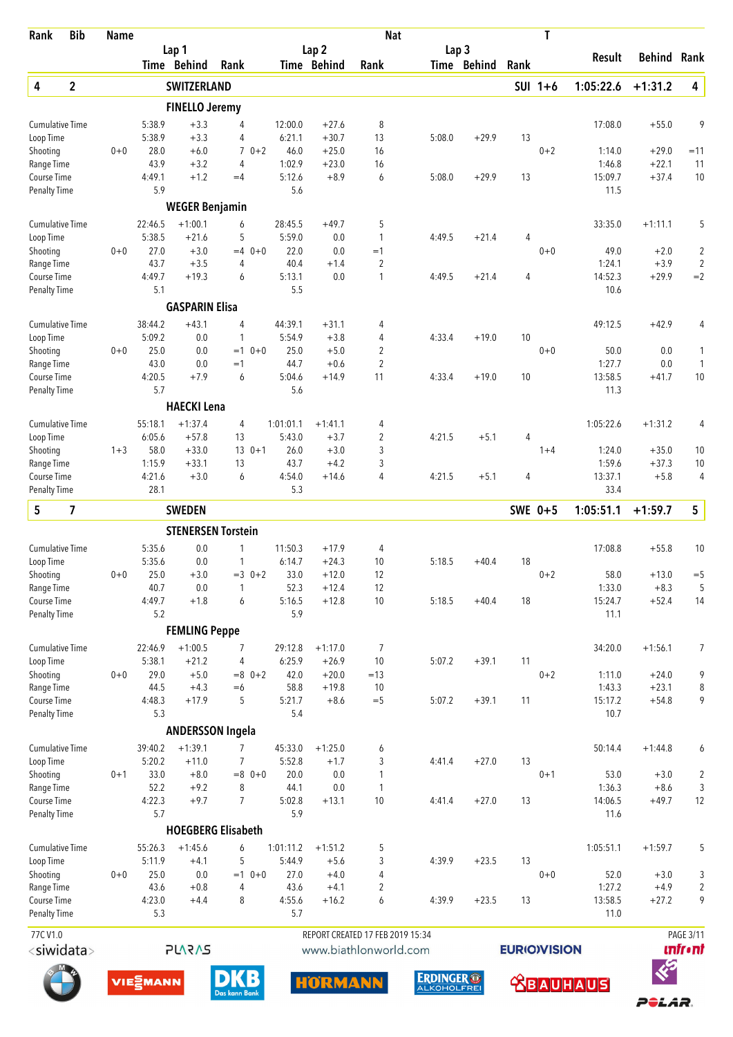| Rank                                | <b>Bib</b>              | <b>Name</b> |                            |                         |                                  |                     |                     | <b>Nat</b>                                                |                  |             |                    | T         |                   |                    |                                     |
|-------------------------------------|-------------------------|-------------|----------------------------|-------------------------|----------------------------------|---------------------|---------------------|-----------------------------------------------------------|------------------|-------------|--------------------|-----------|-------------------|--------------------|-------------------------------------|
|                                     |                         |             |                            | Lap 1                   |                                  |                     | Lap <sub>2</sub>    |                                                           | Lap <sub>3</sub> |             |                    |           | Result            | <b>Behind Rank</b> |                                     |
|                                     |                         |             |                            | Time Behind             | Rank                             |                     | Time Behind         | Rank                                                      |                  | Time Behind | Rank               |           |                   |                    |                                     |
| 4                                   | $\mathbf{2}$            |             |                            | <b>SWITZERLAND</b>      |                                  |                     |                     |                                                           |                  |             |                    | $SUI 1+6$ | 1:05:22.6         | $+1:31.2$          | 4                                   |
|                                     |                         |             |                            | <b>FINELLO Jeremy</b>   |                                  |                     |                     |                                                           |                  |             |                    |           |                   |                    |                                     |
| <b>Cumulative Time</b><br>Loop Time |                         |             | 5:38.9<br>5:38.9           | $+3.3$<br>$+3.3$        | 4<br>4                           | 12:00.0<br>6:21.1   | $+27.6$<br>$+30.7$  | 8<br>13                                                   | 5:08.0           | $+29.9$     | 13                 |           | 17:08.0           | $+55.0$            | 9                                   |
| Shooting                            |                         | $0 + 0$     | 28.0                       | $+6.0$                  | $\overline{7}$<br>$0 + 2$        | 46.0                | $+25.0$             | 16                                                        |                  |             |                    | $0 + 2$   | 1:14.0            | $+29.0$            | $=11$                               |
| Range Time                          |                         |             | 43.9                       | $+3.2$                  | 4                                | 1:02.9              | $+23.0$             | 16                                                        |                  |             |                    |           | 1:46.8            | $+22.1$            | 11                                  |
| Course Time<br><b>Penalty Time</b>  |                         |             | 4:49.1<br>5.9              | $+1.2$                  | $=4$                             | 5:12.6<br>5.6       | $+8.9$              | 6                                                         | 5:08.0           | $+29.9$     | 13                 |           | 15:09.7<br>11.5   | $+37.4$            | 10                                  |
|                                     |                         |             |                            | <b>WEGER Benjamin</b>   |                                  |                     |                     |                                                           |                  |             |                    |           |                   |                    |                                     |
| <b>Cumulative Time</b>              |                         |             | 22:46.5                    | $+1:00.1$               | 6                                | 28:45.5             | $+49.7$             | 5                                                         |                  |             |                    |           | 33:35.0           | $+1:11.1$          | 5                                   |
| Loop Time                           |                         |             | 5:38.5                     | $+21.6$                 | 5                                | 5:59.0              | 0.0                 | 1                                                         | 4:49.5           | $+21.4$     | 4                  |           |                   |                    |                                     |
| Shooting                            |                         | $0 + 0$     | 27.0                       | $+3.0$                  | $0 + 0$<br>$=4$                  | 22.0                | 0.0                 | $=1$                                                      |                  |             |                    | $0 + 0$   | 49.0              | $+2.0$             | $\overline{\mathbf{c}}$             |
| Range Time                          |                         |             | 43.7                       | $+3.5$                  | 4                                | 40.4                | $+1.4$              | $\overline{2}$                                            |                  |             |                    |           | 1:24.1            | $+3.9$             | $\overline{2}$                      |
| Course Time<br><b>Penalty Time</b>  |                         |             | 4:49.7<br>5.1              | $+19.3$                 | 6                                | 5:13.1<br>5.5       | 0.0                 | 1                                                         | 4:49.5           | $+21.4$     | 4                  |           | 14:52.3<br>10.6   | $+29.9$            | $=2$                                |
|                                     |                         |             |                            | <b>GASPARIN Elisa</b>   |                                  |                     |                     |                                                           |                  |             |                    |           |                   |                    |                                     |
| <b>Cumulative Time</b>              |                         |             | 38:44.2                    | $+43.1$                 | 4                                | 44:39.1             | $+31.1$             | 4                                                         |                  |             |                    |           | 49:12.5           | $+42.9$            | 4                                   |
| Loop Time                           |                         |             | 5:09.2                     | 0.0                     | 1                                | 5:54.9              | $+3.8$              | 4                                                         | 4:33.4           | $+19.0$     | 10                 |           |                   |                    |                                     |
| Shooting                            |                         | $0 + 0$     | 25.0                       | 0.0                     | $=1$<br>$0 + 0$                  | 25.0                | $+5.0$              | 2                                                         |                  |             |                    | $0 + 0$   | 50.0              | 0.0                | 1                                   |
| Range Time                          |                         |             | 43.0<br>4:20.5             | 0.0<br>$+7.9$           | $=1$                             | 44.7<br>5:04.6      | $+0.6$              | $\overline{2}$<br>11                                      |                  |             |                    |           | 1:27.7            | 0.0                | $\mathbf{1}$                        |
| Course Time<br><b>Penalty Time</b>  |                         |             | 5.7                        |                         | 6                                | 5.6                 | $+14.9$             |                                                           | 4:33.4           | $+19.0$     | 10                 |           | 13:58.5<br>11.3   | $+41.7$            | 10                                  |
|                                     |                         |             |                            | <b>HAECKI Lena</b>      |                                  |                     |                     |                                                           |                  |             |                    |           |                   |                    |                                     |
| <b>Cumulative Time</b>              |                         |             | 55:18.1                    | $+1:37.4$               | 4                                | 1:01:01.1           | $+1:41.1$           | 4                                                         |                  |             |                    |           | 1:05:22.6         | $+1:31.2$          | 4                                   |
| Loop Time                           |                         |             | 6:05.6                     | $+57.8$                 | 13                               | 5:43.0              | $+3.7$              | $\overline{c}$                                            | 4:21.5           | $+5.1$      | 4                  |           |                   |                    |                                     |
| Shooting                            |                         | $1 + 3$     | 58.0                       | $+33.0$                 | $13 \t 0+1$                      | 26.0                | $+3.0$              | 3                                                         |                  |             |                    | $1 + 4$   | 1:24.0            | $+35.0$            | 10                                  |
| Range Time<br>Course Time           |                         |             | 1:15.9<br>4:21.6           | $+33.1$<br>$+3.0$       | 13<br>6                          | 43.7<br>4:54.0      | $+4.2$<br>$+14.6$   | 3<br>4                                                    | 4:21.5           | $+5.1$      | 4                  |           | 1:59.6<br>13:37.1 | $+37.3$<br>$+5.8$  | 10<br>4                             |
| <b>Penalty Time</b>                 |                         |             | 28.1                       |                         |                                  | 5.3                 |                     |                                                           |                  |             |                    |           | 33.4              |                    |                                     |
| 5                                   | $\overline{\mathbf{z}}$ |             |                            | <b>SWEDEN</b>           |                                  |                     |                     |                                                           |                  |             | SWE 0+5            |           | 1:05:51.1         | $+1:59.7$          | 5                                   |
|                                     |                         |             |                            |                         | <b>STENERSEN Torstein</b>        |                     |                     |                                                           |                  |             |                    |           |                   |                    |                                     |
| <b>Cumulative Time</b>              |                         |             | 5:35.6                     | 0.0                     | 1                                | 11:50.3             | $+17.9$             | 4                                                         |                  |             |                    |           | 17:08.8           | $+55.8$            | 10                                  |
| Loop Time                           |                         |             | 5:35.6                     | 0.0                     | 1                                | 6:14.7              | $+24.3$             | 10                                                        | 5:18.5           | $+40.4$     | 18                 |           |                   |                    |                                     |
| Shooting                            |                         | $0 + 0$     | 25.0                       | $+3.0$                  | $=3$ 0+2                         | 33.0                | $+12.0$             | 12                                                        |                  |             |                    | $0 + 2$   | 58.0              | $+13.0$            | $=$ 5                               |
| Range Time                          |                         |             | 40.7                       | $0.0\,$                 | 1                                | 52.3                | $+12.4$             | 12                                                        |                  |             |                    |           | 1:33.0            | $+8.3$             | 5                                   |
| Course Time<br>Penalty Time         |                         |             | 4:49.7<br>5.2              | $+1.8$                  | 6                                | 5:16.5<br>5.9       | $+12.8$             | 10                                                        | 5:18.5           | $+40.4$     | 18                 |           | 15:24.7<br>11.1   | $+52.4$            | 14                                  |
|                                     |                         |             |                            | <b>FEMLING Peppe</b>    |                                  |                     |                     |                                                           |                  |             |                    |           |                   |                    |                                     |
| <b>Cumulative Time</b>              |                         |             | 22:46.9                    | $+1:00.5$               | 7                                | 29:12.8             | $+1:17.0$           | 7                                                         |                  |             |                    |           | 34:20.0           | $+1:56.1$          | 7                                   |
| Loop Time                           |                         |             | 5:38.1                     | $+21.2$                 | 4                                | 6:25.9              | $+26.9$             | 10                                                        | 5:07.2           | $+39.1$     | 11                 |           |                   |                    |                                     |
| Shooting                            |                         | $0 + 0$     | 29.0                       | $+5.0$                  | $=8$ 0+2                         | 42.0                | $+20.0$             | $=13$                                                     |                  |             |                    | $0 + 2$   | 1:11.0            | $+24.0$            | 9                                   |
| Range Time                          |                         |             | 44.5                       | $+4.3$                  | $=6$                             | 58.8                | $+19.8$             | 10                                                        |                  |             |                    |           | 1:43.3            | $+23.1$            | 8                                   |
| Course Time                         |                         |             | 4:48.3                     | $+17.9$                 | 5                                | 5:21.7              | $+8.6$              | $=$ 5                                                     | 5:07.2           | $+39.1$     | 11                 |           | 15:17.2           | $+54.8$            | 9                                   |
| <b>Penalty Time</b>                 |                         |             | 5.3                        | <b>ANDERSSON Ingela</b> |                                  | 5.4                 |                     |                                                           |                  |             |                    |           | 10.7              |                    |                                     |
|                                     |                         |             |                            | $+1:39.1$               |                                  |                     |                     |                                                           |                  |             |                    |           |                   |                    |                                     |
| <b>Cumulative Time</b><br>Loop Time |                         |             | 39:40.2<br>5:20.2          | $+11.0$                 | $\overline{7}$<br>$\overline{7}$ | 45:33.0<br>5:52.8   | $+1:25.0$<br>$+1.7$ | 6<br>3                                                    | 4:41.4           | $+27.0$     | 13                 |           | 50:14.4           | $+1:44.8$          | 6                                   |
| Shooting                            |                         | $0 + 1$     | 33.0                       | $+8.0$                  | $=8$ 0+0                         | 20.0                | 0.0                 | 1                                                         |                  |             |                    | $0 + 1$   | 53.0              | $+3.0$             | $\sqrt{2}$                          |
| Range Time                          |                         |             | 52.2                       | $+9.2$                  | 8                                | 44.1                | 0.0                 | 1                                                         |                  |             |                    |           | 1:36.3            | $+8.6$             | $\sqrt{3}$                          |
| Course Time                         |                         |             | 4:22.3                     | $+9.7$                  | $\overline{7}$                   | 5:02.8              | $+13.1$             | 10                                                        | 4:41.4           | $+27.0$     | 13                 |           | 14:06.5           | $+49.7$            | 12                                  |
| <b>Penalty Time</b>                 |                         |             | 5.7                        |                         |                                  | 5.9                 |                     |                                                           |                  |             |                    |           | 11.6              |                    |                                     |
|                                     |                         |             |                            |                         | <b>HOEGBERG Elisabeth</b>        |                     |                     |                                                           |                  |             |                    |           |                   |                    |                                     |
| <b>Cumulative Time</b><br>Loop Time |                         |             | 55:26.3<br>5:11.9          | $+1:45.6$<br>$+4.1$     | 6<br>5                           | 1:01:11.2<br>5:44.9 | $+1:51.2$<br>$+5.6$ | 5<br>3                                                    | 4:39.9           | $+23.5$     | 13                 |           | 1:05:51.1         | $+1:59.7$          | 5                                   |
| Shooting                            |                         | $0 + 0$     | 25.0                       | 0.0                     | $=1$ 0+0                         | 27.0                | $+4.0$              | $\overline{4}$                                            |                  |             |                    | $0 + 0$   | 52.0              | $+3.0$             | 3                                   |
| Range Time                          |                         |             | 43.6                       | $+0.8$                  | 4                                | 43.6                | $+4.1$              | $\overline{2}$                                            |                  |             |                    |           | 1:27.2            | $+4.9$             | $\overline{2}$                      |
| Course Time<br><b>Penalty Time</b>  |                         |             | 4:23.0<br>5.3              | $+4.4$                  | 8                                | 4:55.6<br>5.7       | $+16.2$             | 6                                                         | 4:39.9           | $+23.5$     | 13                 |           | 13:58.5<br>11.0   | $+27.2$            | 9                                   |
|                                     |                         |             |                            |                         |                                  |                     |                     |                                                           |                  |             |                    |           |                   |                    |                                     |
| 77CV1.0<br><siwidata></siwidata>    |                         |             |                            | <b>SVSVJS</b>           |                                  |                     |                     | REPORT CREATED 17 FEB 2019 15:34<br>www.biathlonworld.com |                  |             | <b>EURIOVISION</b> |           |                   |                    | <b>PAGE 3/11</b><br><b>unfr</b> •nt |
|                                     |                         |             |                            |                         |                                  |                     |                     |                                                           |                  |             |                    |           |                   |                    |                                     |
|                                     |                         |             | <b>VIE<sup>S</sup>MANN</b> |                         | <b>DKB</b>                       |                     | <b>LINDMANN</b>     |                                                           | <b>ERDINGER®</b> |             |                    |           | <b>Qommmmma</b>   | $\bm{\mathcal{E}}$ |                                     |

**ERDINGER OF** 

**SBAUHAUS** 

POLAR.





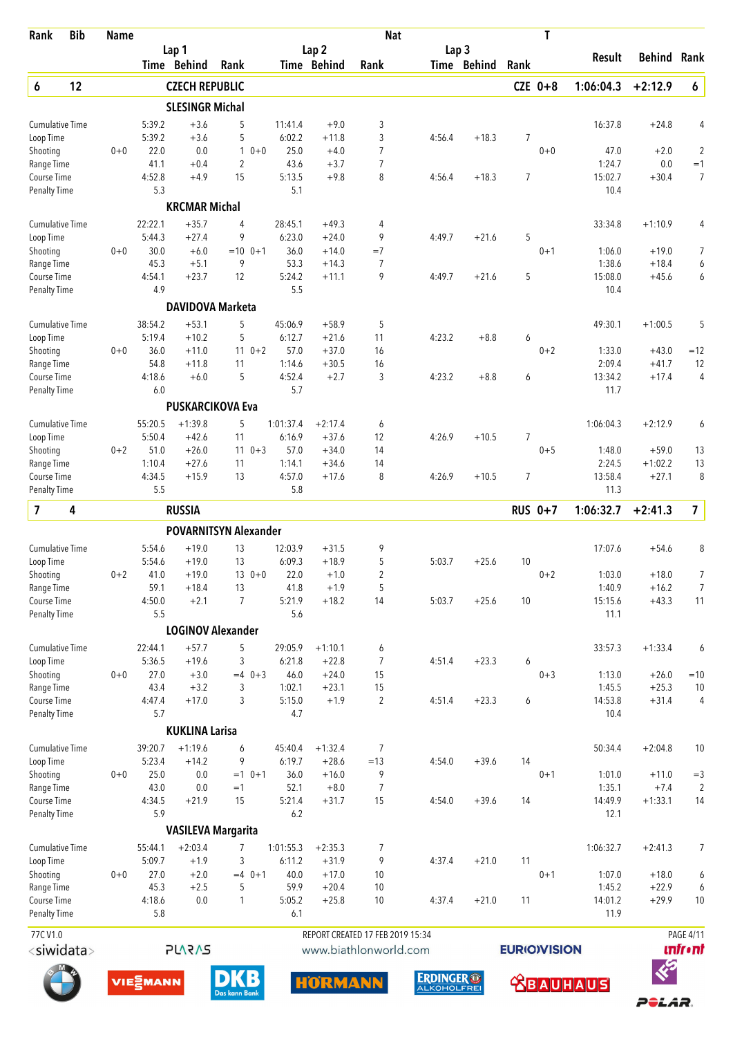| Lap 2<br>Lap <sub>3</sub><br>Lap 1<br>Rank<br><b>Result</b><br>Behind<br>Time Behind<br>Rank<br>Time Behind<br>Time Behind<br>Rank<br>Rank<br>12<br>6<br><b>CZECH REPUBLIC</b><br>$CZE$ 0+8<br>1:06:04.3<br>$+2:12.9$<br>$\boldsymbol{6}$<br><b>SLESINGR Michal</b><br>5:39.2<br>$+3.6$<br>$+9.0$<br>3<br>16:37.8<br><b>Cumulative Time</b><br>5<br>11:41.4<br>$+24.8$<br>4<br>3<br>5:39.2<br>$+3.6$<br>5<br>6:02.2<br>4:56.4<br>$+18.3$<br>7<br>Loop Time<br>$+11.8$<br>22.0<br>0.0<br>$\mathbf{1}$<br>25.0<br>$\overline{7}$<br>$\overline{2}$<br>Shooting<br>$0 + 0$<br>$0 + 0$<br>$+4.0$<br>$0 + 0$<br>47.0<br>$+2.0$<br>$+0.4$<br>$\overline{2}$<br>43.6<br>$\overline{7}$<br>0.0<br>$=1$<br>41.1<br>$+3.7$<br>1:24.7<br>Range Time<br>7<br>4:52.8<br>15<br>5:13.5<br>8<br>7<br>15:02.7<br>$+30.4$<br>Course Time<br>$+4.9$<br>$+9.8$<br>4:56.4<br>$+18.3$<br>5.3<br>5.1<br><b>Penalty Time</b><br>10.4<br><b>KRCMAR Michal</b><br>22:22.1<br>28:45.1<br>4<br>$+1:10.9$<br><b>Cumulative Time</b><br>$+35.7$<br>4<br>$+49.3$<br>33:34.8<br>4<br>5:44.3<br>$+27.4$<br>9<br>6:23.0<br>9<br>4:49.7<br>$+21.6$<br>5<br>Loop Time<br>$+24.0$<br>30.0<br>$=10$ 0+1<br>36.0<br>$0 + 1$<br>$+19.0$<br>7<br>Shooting<br>$0 + 0$<br>$+6.0$<br>$+14.0$<br>$=7$<br>1:06.0<br>9<br>53.3<br>1:38.6<br>45.3<br>$+5.1$<br>7<br>$+18.4$<br>6<br>Range Time<br>$+14.3$<br>4:54.1<br>12<br>5:24.2<br>9<br>5<br>15:08.0<br>6<br>Course Time<br>$+23.7$<br>$+11.1$<br>4:49.7<br>$+21.6$<br>$+45.6$<br>5.5<br>4.9<br>10.4<br><b>Penalty Time</b><br><b>DAVIDOVA Marketa</b><br><b>Cumulative Time</b><br>38:54.2<br>$+53.1$<br>5<br>45:06.9<br>$+58.9$<br>5<br>$+1:00.5$<br>5<br>49:30.1<br>5:19.4<br>$+10.2$<br>6:12.7<br>11<br>4:23.2<br>$+8.8$<br>Loop Time<br>5<br>$+21.6$<br>6<br>36.0<br>$110+2$<br>57.0<br>$+37.0$<br>16<br>$=12$<br>Shooting<br>$0 + 0$<br>$+11.0$<br>$0 + 2$<br>1:33.0<br>$+43.0$<br>54.8<br>2:09.4<br>12<br>$+11.8$<br>11<br>1:14.6<br>$+30.5$<br>16<br>$+41.7$<br>Range Time<br>4:18.6<br>5<br>4:52.4<br>3<br>$\overline{4}$<br>Course Time<br>$+6.0$<br>$+2.7$<br>4:23.2<br>$+8.8$<br>6<br>13:34.2<br>$+17.4$<br>5.7<br><b>Penalty Time</b><br>6.0<br>11.7<br><b>PUSKARCIKOVA Eva</b><br>55:20.5<br>$+1:39.8$<br>5<br>1:01:37.4<br>$+2:17.4$<br>$+2:12.9$<br><b>Cumulative Time</b><br>6<br>1:06:04.3<br>6<br>5:50.4<br>$+42.6$<br>11<br>6:16.9<br>$+37.6$<br>12<br>4:26.9<br>$+10.5$<br>$\overline{7}$<br>Loop Time<br>51.0<br>57.0<br>Shooting<br>$0 + 2$<br>$+26.0$<br>$11 \t 0+3$<br>$+34.0$<br>14<br>$0 + 5$<br>1:48.0<br>$+59.0$<br>13<br>1:10.4<br>$+1:02.2$<br>13<br>Range Time<br>$+27.6$<br>1:14.1<br>14<br>2:24.5<br>11<br>$+34.6$<br>4:34.5<br>8<br>13:58.4<br>8<br>Course Time<br>$+15.9$<br>13<br>4:57.0<br>$+17.6$<br>4:26.9<br>$+10.5$<br>7<br>$+27.1$<br>5.5<br>5.8<br><b>Penalty Time</b><br>11.3<br>$\overline{\mathbf{z}}$<br>$\overline{\mathbf{z}}$<br>4<br><b>RUSSIA</b><br><b>RUS 0+7</b><br>1:06:32.7<br>$+2:41.3$<br><b>POVARNITSYN Alexander</b><br>9<br>$+19.0$<br>8<br><b>Cumulative Time</b><br>5:54.6<br>13<br>12:03.9<br>$+31.5$<br>17:07.6<br>$+54.6$<br>$+19.0$<br>13<br>6:09.3<br>$+18.9$<br>5<br>$+25.6$<br>Loop Time<br>5:54.6<br>5:03.7<br>10<br>2<br>Shooting<br>$0 + 2$<br>41.0<br>$+19.0$<br>$130+0$<br>22.0<br>$+1.0$<br>$0 + 2$<br>1:03.0<br>$+18.0$<br>59.1<br>$+18.4$<br>13<br>41.8<br>$+1.9$<br>5<br>1:40.9<br>$+16.2$<br>$\overline{7}$<br>Range Time<br>$\overline{7}$<br>$+18.2$<br>Course Time<br>4:50.0<br>$+2.1$<br>5:21.9<br>14<br>5:03.7<br>$+25.6$<br>10<br>15:15.6<br>$+43.3$<br>11<br>5.5<br>5.6<br><b>Penalty Time</b><br>11.1<br><b>LOGINOV Alexander</b><br>$+57.7$<br><b>Cumulative Time</b><br>22:44.1<br>5<br>29:05.9<br>$+1:10.1$<br>6<br>33:57.3<br>$+1:33.4$<br>6<br>Loop Time<br>5:36.5<br>$+19.6$<br>3<br>6:21.8<br>$\overline{7}$<br>$+23.3$<br>$+22.8$<br>4:51.4<br>6<br>$0 + 0$<br>27.0<br>$+3.0$<br>$=4$ 0+3<br>46.0<br>$+24.0$<br>15<br>$0 + 3$<br>1:13.0<br>Shooting<br>$+26.0$<br>$=10$<br>43.4<br>$+3.2$<br>3<br>1:02.1<br>15<br>1:45.5<br>$+25.3$<br>$10$<br>Range Time<br>$+23.1$<br>4:47.4<br>$+17.0$<br>3<br>5:15.0<br>$+1.9$<br>$\overline{2}$<br>4:51.4<br>$+23.3$<br>6<br>14:53.8<br>$+31.4$<br>Course Time<br>4<br>5.7<br>4.7<br><b>Penalty Time</b><br>10.4<br><b>KUKLINA Larisa</b><br>$\overline{7}$<br>$+1:19.6$<br>45:40.4<br>$+2:04.8$<br><b>Cumulative Time</b><br>39:20.7<br>6<br>$+1:32.4$<br>50:34.4<br>10<br>5:23.4<br>$+14.2$<br>9<br>6:19.7<br>$=13$<br>14<br>Loop Time<br>$+28.6$<br>4:54.0<br>$+39.6$<br>25.0<br>0.0<br>36.0<br>9<br>1:01.0<br>Shooting<br>$0 + 0$<br>$=1$ 0+1<br>$+16.0$<br>$0 + 1$<br>$+11.0$<br>$=3$<br>43.0<br>0.0<br>52.1<br>$+8.0$<br>7<br>1:35.1<br>$+7.4$<br>$\overline{2}$<br>Range Time<br>$=1$<br>4:34.5<br>$+21.9$<br>15<br>5:21.4<br>$+31.7$<br>15<br>$+39.6$<br>14:49.9<br>$+1:33.1$<br>14<br>Course Time<br>4:54.0<br>14<br>5.9<br>6.2<br>12.1<br><b>Penalty Time</b><br><b>VASILEVA Margarita</b><br>$+2:03.4$<br>1:01:55.3<br><b>Cumulative Time</b><br>55:44.1<br>7<br>$+2:35.3$<br>7<br>1:06:32.7<br>$+2:41.3$<br>9<br>Loop Time<br>5:09.7<br>$+1.9$<br>3<br>6:11.2<br>4:37.4<br>11<br>$+31.9$<br>$+21.0$<br>27.0<br>$+2.0$<br>$=4$ 0+1<br>40.0<br>$+17.0$<br>10<br>$0 + 1$<br>$+18.0$<br>Shooting<br>$0 + 0$<br>1:07.0<br>6<br>45.3<br>5<br>59.9<br>1:45.2<br>$+22.9$<br>Range Time<br>$+2.5$<br>$+20.4$<br>10<br>6<br>4:18.6<br>0.0<br>5:05.2<br>$+25.8$<br>10<br>$+21.0$<br>14:01.2<br>$+29.9$<br>10<br>Course Time<br>1<br>4:37.4<br>11<br>5.8<br><b>Penalty Time</b><br>6.1<br>11.9<br>77CV1.0<br>REPORT CREATED 17 FEB 2019 15:34<br><b>PAGE 4/11</b><br><b>PLARAS</b><br><b>unfr</b> •nt<br><siwidata><br/><b>EURIOVISION</b><br/>www.biathlonworld.com<br/><math>\ll</math><br/><b>DKB</b><br/><b>ERDINGER®</b><br/><b>HORMANN</b><br/><b>VIE<sup>S</sup>MANN</b><br/><b>Qommmme</b></siwidata> | Rank | <b>Bib</b> | <b>Name</b> |  |  | <b>Nat</b> |  | T |  |  |
|----------------------------------------------------------------------------------------------------------------------------------------------------------------------------------------------------------------------------------------------------------------------------------------------------------------------------------------------------------------------------------------------------------------------------------------------------------------------------------------------------------------------------------------------------------------------------------------------------------------------------------------------------------------------------------------------------------------------------------------------------------------------------------------------------------------------------------------------------------------------------------------------------------------------------------------------------------------------------------------------------------------------------------------------------------------------------------------------------------------------------------------------------------------------------------------------------------------------------------------------------------------------------------------------------------------------------------------------------------------------------------------------------------------------------------------------------------------------------------------------------------------------------------------------------------------------------------------------------------------------------------------------------------------------------------------------------------------------------------------------------------------------------------------------------------------------------------------------------------------------------------------------------------------------------------------------------------------------------------------------------------------------------------------------------------------------------------------------------------------------------------------------------------------------------------------------------------------------------------------------------------------------------------------------------------------------------------------------------------------------------------------------------------------------------------------------------------------------------------------------------------------------------------------------------------------------------------------------------------------------------------------------------------------------------------------------------------------------------------------------------------------------------------------------------------------------------------------------------------------------------------------------------------------------------------------------------------------------------------------------------------------------------------------------------------------------------------------------------------------------------------------------------------------------------------------------------------------------------------------------------------------------------------------------------------------------------------------------------------------------------------------------------------------------------------------------------------------------------------------------------------------------------------------------------------------------------------------------------------------------------------------------------------------------------------------------------------------------------------------------------------------------------------------------------------------------------------------------------------------------------------------------------------------------------------------------------------------------------------------------------------------------------------------------------------------------------------------------------------------------------------------------------------------------------------------------------------------------------------------------------------------------------------------------------------------------------------------------------------------------------------------------------------------------------------------------------------------------------------------------------------------------------------------------------------------------------------------------------------------------------------------------------------------------------------------------------------------------------------------------------------------------------------------------------------------------------------------------------------------------------------------------------------------------------------------------------------------------------------------------------------------------------------------------------------------------------------------------------------------------------------------------------------------------------------------------------------------------------------------------------------------------------------------------------------------------------------------------------------------------------------------------------------------------------------------------------------------------------------------------------------------------------------------------------------------------------------------------------------------------------------------------------------------------------------------------------------------------------------------------------------------------------------------------------------------------------------------------------------|------|------------|-------------|--|--|------------|--|---|--|--|
| 7                                                                                                                                                                                                                                                                                                                                                                                                                                                                                                                                                                                                                                                                                                                                                                                                                                                                                                                                                                                                                                                                                                                                                                                                                                                                                                                                                                                                                                                                                                                                                                                                                                                                                                                                                                                                                                                                                                                                                                                                                                                                                                                                                                                                                                                                                                                                                                                                                                                                                                                                                                                                                                                                                                                                                                                                                                                                                                                                                                                                                                                                                                                                                                                                                                                                                                                                                                                                                                                                                                                                                                                                                                                                                                                                                                                                                                                                                                                                                                                                                                                                                                                                                                                                                                                                                                                                                                                                                                                                                                                                                                                                                                                                                                                                                                                                                                                                                                                                                                                                                                                                                                                                                                                                                                                                                                                                                                                                                                                                                                                                                                                                                                                                                                                                                                                                                                                        |      |            |             |  |  |            |  |   |  |  |
|                                                                                                                                                                                                                                                                                                                                                                                                                                                                                                                                                                                                                                                                                                                                                                                                                                                                                                                                                                                                                                                                                                                                                                                                                                                                                                                                                                                                                                                                                                                                                                                                                                                                                                                                                                                                                                                                                                                                                                                                                                                                                                                                                                                                                                                                                                                                                                                                                                                                                                                                                                                                                                                                                                                                                                                                                                                                                                                                                                                                                                                                                                                                                                                                                                                                                                                                                                                                                                                                                                                                                                                                                                                                                                                                                                                                                                                                                                                                                                                                                                                                                                                                                                                                                                                                                                                                                                                                                                                                                                                                                                                                                                                                                                                                                                                                                                                                                                                                                                                                                                                                                                                                                                                                                                                                                                                                                                                                                                                                                                                                                                                                                                                                                                                                                                                                                                                          |      |            |             |  |  |            |  |   |  |  |
|                                                                                                                                                                                                                                                                                                                                                                                                                                                                                                                                                                                                                                                                                                                                                                                                                                                                                                                                                                                                                                                                                                                                                                                                                                                                                                                                                                                                                                                                                                                                                                                                                                                                                                                                                                                                                                                                                                                                                                                                                                                                                                                                                                                                                                                                                                                                                                                                                                                                                                                                                                                                                                                                                                                                                                                                                                                                                                                                                                                                                                                                                                                                                                                                                                                                                                                                                                                                                                                                                                                                                                                                                                                                                                                                                                                                                                                                                                                                                                                                                                                                                                                                                                                                                                                                                                                                                                                                                                                                                                                                                                                                                                                                                                                                                                                                                                                                                                                                                                                                                                                                                                                                                                                                                                                                                                                                                                                                                                                                                                                                                                                                                                                                                                                                                                                                                                                          |      |            |             |  |  |            |  |   |  |  |
|                                                                                                                                                                                                                                                                                                                                                                                                                                                                                                                                                                                                                                                                                                                                                                                                                                                                                                                                                                                                                                                                                                                                                                                                                                                                                                                                                                                                                                                                                                                                                                                                                                                                                                                                                                                                                                                                                                                                                                                                                                                                                                                                                                                                                                                                                                                                                                                                                                                                                                                                                                                                                                                                                                                                                                                                                                                                                                                                                                                                                                                                                                                                                                                                                                                                                                                                                                                                                                                                                                                                                                                                                                                                                                                                                                                                                                                                                                                                                                                                                                                                                                                                                                                                                                                                                                                                                                                                                                                                                                                                                                                                                                                                                                                                                                                                                                                                                                                                                                                                                                                                                                                                                                                                                                                                                                                                                                                                                                                                                                                                                                                                                                                                                                                                                                                                                                                          |      |            |             |  |  |            |  |   |  |  |
|                                                                                                                                                                                                                                                                                                                                                                                                                                                                                                                                                                                                                                                                                                                                                                                                                                                                                                                                                                                                                                                                                                                                                                                                                                                                                                                                                                                                                                                                                                                                                                                                                                                                                                                                                                                                                                                                                                                                                                                                                                                                                                                                                                                                                                                                                                                                                                                                                                                                                                                                                                                                                                                                                                                                                                                                                                                                                                                                                                                                                                                                                                                                                                                                                                                                                                                                                                                                                                                                                                                                                                                                                                                                                                                                                                                                                                                                                                                                                                                                                                                                                                                                                                                                                                                                                                                                                                                                                                                                                                                                                                                                                                                                                                                                                                                                                                                                                                                                                                                                                                                                                                                                                                                                                                                                                                                                                                                                                                                                                                                                                                                                                                                                                                                                                                                                                                                          |      |            |             |  |  |            |  |   |  |  |
| 7                                                                                                                                                                                                                                                                                                                                                                                                                                                                                                                                                                                                                                                                                                                                                                                                                                                                                                                                                                                                                                                                                                                                                                                                                                                                                                                                                                                                                                                                                                                                                                                                                                                                                                                                                                                                                                                                                                                                                                                                                                                                                                                                                                                                                                                                                                                                                                                                                                                                                                                                                                                                                                                                                                                                                                                                                                                                                                                                                                                                                                                                                                                                                                                                                                                                                                                                                                                                                                                                                                                                                                                                                                                                                                                                                                                                                                                                                                                                                                                                                                                                                                                                                                                                                                                                                                                                                                                                                                                                                                                                                                                                                                                                                                                                                                                                                                                                                                                                                                                                                                                                                                                                                                                                                                                                                                                                                                                                                                                                                                                                                                                                                                                                                                                                                                                                                                                        |      |            |             |  |  |            |  |   |  |  |
|                                                                                                                                                                                                                                                                                                                                                                                                                                                                                                                                                                                                                                                                                                                                                                                                                                                                                                                                                                                                                                                                                                                                                                                                                                                                                                                                                                                                                                                                                                                                                                                                                                                                                                                                                                                                                                                                                                                                                                                                                                                                                                                                                                                                                                                                                                                                                                                                                                                                                                                                                                                                                                                                                                                                                                                                                                                                                                                                                                                                                                                                                                                                                                                                                                                                                                                                                                                                                                                                                                                                                                                                                                                                                                                                                                                                                                                                                                                                                                                                                                                                                                                                                                                                                                                                                                                                                                                                                                                                                                                                                                                                                                                                                                                                                                                                                                                                                                                                                                                                                                                                                                                                                                                                                                                                                                                                                                                                                                                                                                                                                                                                                                                                                                                                                                                                                                                          |      |            |             |  |  |            |  |   |  |  |
|                                                                                                                                                                                                                                                                                                                                                                                                                                                                                                                                                                                                                                                                                                                                                                                                                                                                                                                                                                                                                                                                                                                                                                                                                                                                                                                                                                                                                                                                                                                                                                                                                                                                                                                                                                                                                                                                                                                                                                                                                                                                                                                                                                                                                                                                                                                                                                                                                                                                                                                                                                                                                                                                                                                                                                                                                                                                                                                                                                                                                                                                                                                                                                                                                                                                                                                                                                                                                                                                                                                                                                                                                                                                                                                                                                                                                                                                                                                                                                                                                                                                                                                                                                                                                                                                                                                                                                                                                                                                                                                                                                                                                                                                                                                                                                                                                                                                                                                                                                                                                                                                                                                                                                                                                                                                                                                                                                                                                                                                                                                                                                                                                                                                                                                                                                                                                                                          |      |            |             |  |  |            |  |   |  |  |
|                                                                                                                                                                                                                                                                                                                                                                                                                                                                                                                                                                                                                                                                                                                                                                                                                                                                                                                                                                                                                                                                                                                                                                                                                                                                                                                                                                                                                                                                                                                                                                                                                                                                                                                                                                                                                                                                                                                                                                                                                                                                                                                                                                                                                                                                                                                                                                                                                                                                                                                                                                                                                                                                                                                                                                                                                                                                                                                                                                                                                                                                                                                                                                                                                                                                                                                                                                                                                                                                                                                                                                                                                                                                                                                                                                                                                                                                                                                                                                                                                                                                                                                                                                                                                                                                                                                                                                                                                                                                                                                                                                                                                                                                                                                                                                                                                                                                                                                                                                                                                                                                                                                                                                                                                                                                                                                                                                                                                                                                                                                                                                                                                                                                                                                                                                                                                                                          |      |            |             |  |  |            |  |   |  |  |
|                                                                                                                                                                                                                                                                                                                                                                                                                                                                                                                                                                                                                                                                                                                                                                                                                                                                                                                                                                                                                                                                                                                                                                                                                                                                                                                                                                                                                                                                                                                                                                                                                                                                                                                                                                                                                                                                                                                                                                                                                                                                                                                                                                                                                                                                                                                                                                                                                                                                                                                                                                                                                                                                                                                                                                                                                                                                                                                                                                                                                                                                                                                                                                                                                                                                                                                                                                                                                                                                                                                                                                                                                                                                                                                                                                                                                                                                                                                                                                                                                                                                                                                                                                                                                                                                                                                                                                                                                                                                                                                                                                                                                                                                                                                                                                                                                                                                                                                                                                                                                                                                                                                                                                                                                                                                                                                                                                                                                                                                                                                                                                                                                                                                                                                                                                                                                                                          |      |            |             |  |  |            |  |   |  |  |
|                                                                                                                                                                                                                                                                                                                                                                                                                                                                                                                                                                                                                                                                                                                                                                                                                                                                                                                                                                                                                                                                                                                                                                                                                                                                                                                                                                                                                                                                                                                                                                                                                                                                                                                                                                                                                                                                                                                                                                                                                                                                                                                                                                                                                                                                                                                                                                                                                                                                                                                                                                                                                                                                                                                                                                                                                                                                                                                                                                                                                                                                                                                                                                                                                                                                                                                                                                                                                                                                                                                                                                                                                                                                                                                                                                                                                                                                                                                                                                                                                                                                                                                                                                                                                                                                                                                                                                                                                                                                                                                                                                                                                                                                                                                                                                                                                                                                                                                                                                                                                                                                                                                                                                                                                                                                                                                                                                                                                                                                                                                                                                                                                                                                                                                                                                                                                                                          |      |            |             |  |  |            |  |   |  |  |
|                                                                                                                                                                                                                                                                                                                                                                                                                                                                                                                                                                                                                                                                                                                                                                                                                                                                                                                                                                                                                                                                                                                                                                                                                                                                                                                                                                                                                                                                                                                                                                                                                                                                                                                                                                                                                                                                                                                                                                                                                                                                                                                                                                                                                                                                                                                                                                                                                                                                                                                                                                                                                                                                                                                                                                                                                                                                                                                                                                                                                                                                                                                                                                                                                                                                                                                                                                                                                                                                                                                                                                                                                                                                                                                                                                                                                                                                                                                                                                                                                                                                                                                                                                                                                                                                                                                                                                                                                                                                                                                                                                                                                                                                                                                                                                                                                                                                                                                                                                                                                                                                                                                                                                                                                                                                                                                                                                                                                                                                                                                                                                                                                                                                                                                                                                                                                                                          |      |            |             |  |  |            |  |   |  |  |
|                                                                                                                                                                                                                                                                                                                                                                                                                                                                                                                                                                                                                                                                                                                                                                                                                                                                                                                                                                                                                                                                                                                                                                                                                                                                                                                                                                                                                                                                                                                                                                                                                                                                                                                                                                                                                                                                                                                                                                                                                                                                                                                                                                                                                                                                                                                                                                                                                                                                                                                                                                                                                                                                                                                                                                                                                                                                                                                                                                                                                                                                                                                                                                                                                                                                                                                                                                                                                                                                                                                                                                                                                                                                                                                                                                                                                                                                                                                                                                                                                                                                                                                                                                                                                                                                                                                                                                                                                                                                                                                                                                                                                                                                                                                                                                                                                                                                                                                                                                                                                                                                                                                                                                                                                                                                                                                                                                                                                                                                                                                                                                                                                                                                                                                                                                                                                                                          |      |            |             |  |  |            |  |   |  |  |
|                                                                                                                                                                                                                                                                                                                                                                                                                                                                                                                                                                                                                                                                                                                                                                                                                                                                                                                                                                                                                                                                                                                                                                                                                                                                                                                                                                                                                                                                                                                                                                                                                                                                                                                                                                                                                                                                                                                                                                                                                                                                                                                                                                                                                                                                                                                                                                                                                                                                                                                                                                                                                                                                                                                                                                                                                                                                                                                                                                                                                                                                                                                                                                                                                                                                                                                                                                                                                                                                                                                                                                                                                                                                                                                                                                                                                                                                                                                                                                                                                                                                                                                                                                                                                                                                                                                                                                                                                                                                                                                                                                                                                                                                                                                                                                                                                                                                                                                                                                                                                                                                                                                                                                                                                                                                                                                                                                                                                                                                                                                                                                                                                                                                                                                                                                                                                                                          |      |            |             |  |  |            |  |   |  |  |
|                                                                                                                                                                                                                                                                                                                                                                                                                                                                                                                                                                                                                                                                                                                                                                                                                                                                                                                                                                                                                                                                                                                                                                                                                                                                                                                                                                                                                                                                                                                                                                                                                                                                                                                                                                                                                                                                                                                                                                                                                                                                                                                                                                                                                                                                                                                                                                                                                                                                                                                                                                                                                                                                                                                                                                                                                                                                                                                                                                                                                                                                                                                                                                                                                                                                                                                                                                                                                                                                                                                                                                                                                                                                                                                                                                                                                                                                                                                                                                                                                                                                                                                                                                                                                                                                                                                                                                                                                                                                                                                                                                                                                                                                                                                                                                                                                                                                                                                                                                                                                                                                                                                                                                                                                                                                                                                                                                                                                                                                                                                                                                                                                                                                                                                                                                                                                                                          |      |            |             |  |  |            |  |   |  |  |
|                                                                                                                                                                                                                                                                                                                                                                                                                                                                                                                                                                                                                                                                                                                                                                                                                                                                                                                                                                                                                                                                                                                                                                                                                                                                                                                                                                                                                                                                                                                                                                                                                                                                                                                                                                                                                                                                                                                                                                                                                                                                                                                                                                                                                                                                                                                                                                                                                                                                                                                                                                                                                                                                                                                                                                                                                                                                                                                                                                                                                                                                                                                                                                                                                                                                                                                                                                                                                                                                                                                                                                                                                                                                                                                                                                                                                                                                                                                                                                                                                                                                                                                                                                                                                                                                                                                                                                                                                                                                                                                                                                                                                                                                                                                                                                                                                                                                                                                                                                                                                                                                                                                                                                                                                                                                                                                                                                                                                                                                                                                                                                                                                                                                                                                                                                                                                                                          |      |            |             |  |  |            |  |   |  |  |
|                                                                                                                                                                                                                                                                                                                                                                                                                                                                                                                                                                                                                                                                                                                                                                                                                                                                                                                                                                                                                                                                                                                                                                                                                                                                                                                                                                                                                                                                                                                                                                                                                                                                                                                                                                                                                                                                                                                                                                                                                                                                                                                                                                                                                                                                                                                                                                                                                                                                                                                                                                                                                                                                                                                                                                                                                                                                                                                                                                                                                                                                                                                                                                                                                                                                                                                                                                                                                                                                                                                                                                                                                                                                                                                                                                                                                                                                                                                                                                                                                                                                                                                                                                                                                                                                                                                                                                                                                                                                                                                                                                                                                                                                                                                                                                                                                                                                                                                                                                                                                                                                                                                                                                                                                                                                                                                                                                                                                                                                                                                                                                                                                                                                                                                                                                                                                                                          |      |            |             |  |  |            |  |   |  |  |
|                                                                                                                                                                                                                                                                                                                                                                                                                                                                                                                                                                                                                                                                                                                                                                                                                                                                                                                                                                                                                                                                                                                                                                                                                                                                                                                                                                                                                                                                                                                                                                                                                                                                                                                                                                                                                                                                                                                                                                                                                                                                                                                                                                                                                                                                                                                                                                                                                                                                                                                                                                                                                                                                                                                                                                                                                                                                                                                                                                                                                                                                                                                                                                                                                                                                                                                                                                                                                                                                                                                                                                                                                                                                                                                                                                                                                                                                                                                                                                                                                                                                                                                                                                                                                                                                                                                                                                                                                                                                                                                                                                                                                                                                                                                                                                                                                                                                                                                                                                                                                                                                                                                                                                                                                                                                                                                                                                                                                                                                                                                                                                                                                                                                                                                                                                                                                                                          |      |            |             |  |  |            |  |   |  |  |
|                                                                                                                                                                                                                                                                                                                                                                                                                                                                                                                                                                                                                                                                                                                                                                                                                                                                                                                                                                                                                                                                                                                                                                                                                                                                                                                                                                                                                                                                                                                                                                                                                                                                                                                                                                                                                                                                                                                                                                                                                                                                                                                                                                                                                                                                                                                                                                                                                                                                                                                                                                                                                                                                                                                                                                                                                                                                                                                                                                                                                                                                                                                                                                                                                                                                                                                                                                                                                                                                                                                                                                                                                                                                                                                                                                                                                                                                                                                                                                                                                                                                                                                                                                                                                                                                                                                                                                                                                                                                                                                                                                                                                                                                                                                                                                                                                                                                                                                                                                                                                                                                                                                                                                                                                                                                                                                                                                                                                                                                                                                                                                                                                                                                                                                                                                                                                                                          |      |            |             |  |  |            |  |   |  |  |
|                                                                                                                                                                                                                                                                                                                                                                                                                                                                                                                                                                                                                                                                                                                                                                                                                                                                                                                                                                                                                                                                                                                                                                                                                                                                                                                                                                                                                                                                                                                                                                                                                                                                                                                                                                                                                                                                                                                                                                                                                                                                                                                                                                                                                                                                                                                                                                                                                                                                                                                                                                                                                                                                                                                                                                                                                                                                                                                                                                                                                                                                                                                                                                                                                                                                                                                                                                                                                                                                                                                                                                                                                                                                                                                                                                                                                                                                                                                                                                                                                                                                                                                                                                                                                                                                                                                                                                                                                                                                                                                                                                                                                                                                                                                                                                                                                                                                                                                                                                                                                                                                                                                                                                                                                                                                                                                                                                                                                                                                                                                                                                                                                                                                                                                                                                                                                                                          |      |            |             |  |  |            |  |   |  |  |
|                                                                                                                                                                                                                                                                                                                                                                                                                                                                                                                                                                                                                                                                                                                                                                                                                                                                                                                                                                                                                                                                                                                                                                                                                                                                                                                                                                                                                                                                                                                                                                                                                                                                                                                                                                                                                                                                                                                                                                                                                                                                                                                                                                                                                                                                                                                                                                                                                                                                                                                                                                                                                                                                                                                                                                                                                                                                                                                                                                                                                                                                                                                                                                                                                                                                                                                                                                                                                                                                                                                                                                                                                                                                                                                                                                                                                                                                                                                                                                                                                                                                                                                                                                                                                                                                                                                                                                                                                                                                                                                                                                                                                                                                                                                                                                                                                                                                                                                                                                                                                                                                                                                                                                                                                                                                                                                                                                                                                                                                                                                                                                                                                                                                                                                                                                                                                                                          |      |            |             |  |  |            |  |   |  |  |
|                                                                                                                                                                                                                                                                                                                                                                                                                                                                                                                                                                                                                                                                                                                                                                                                                                                                                                                                                                                                                                                                                                                                                                                                                                                                                                                                                                                                                                                                                                                                                                                                                                                                                                                                                                                                                                                                                                                                                                                                                                                                                                                                                                                                                                                                                                                                                                                                                                                                                                                                                                                                                                                                                                                                                                                                                                                                                                                                                                                                                                                                                                                                                                                                                                                                                                                                                                                                                                                                                                                                                                                                                                                                                                                                                                                                                                                                                                                                                                                                                                                                                                                                                                                                                                                                                                                                                                                                                                                                                                                                                                                                                                                                                                                                                                                                                                                                                                                                                                                                                                                                                                                                                                                                                                                                                                                                                                                                                                                                                                                                                                                                                                                                                                                                                                                                                                                          |      |            |             |  |  |            |  |   |  |  |
|                                                                                                                                                                                                                                                                                                                                                                                                                                                                                                                                                                                                                                                                                                                                                                                                                                                                                                                                                                                                                                                                                                                                                                                                                                                                                                                                                                                                                                                                                                                                                                                                                                                                                                                                                                                                                                                                                                                                                                                                                                                                                                                                                                                                                                                                                                                                                                                                                                                                                                                                                                                                                                                                                                                                                                                                                                                                                                                                                                                                                                                                                                                                                                                                                                                                                                                                                                                                                                                                                                                                                                                                                                                                                                                                                                                                                                                                                                                                                                                                                                                                                                                                                                                                                                                                                                                                                                                                                                                                                                                                                                                                                                                                                                                                                                                                                                                                                                                                                                                                                                                                                                                                                                                                                                                                                                                                                                                                                                                                                                                                                                                                                                                                                                                                                                                                                                                          |      |            |             |  |  |            |  |   |  |  |
|                                                                                                                                                                                                                                                                                                                                                                                                                                                                                                                                                                                                                                                                                                                                                                                                                                                                                                                                                                                                                                                                                                                                                                                                                                                                                                                                                                                                                                                                                                                                                                                                                                                                                                                                                                                                                                                                                                                                                                                                                                                                                                                                                                                                                                                                                                                                                                                                                                                                                                                                                                                                                                                                                                                                                                                                                                                                                                                                                                                                                                                                                                                                                                                                                                                                                                                                                                                                                                                                                                                                                                                                                                                                                                                                                                                                                                                                                                                                                                                                                                                                                                                                                                                                                                                                                                                                                                                                                                                                                                                                                                                                                                                                                                                                                                                                                                                                                                                                                                                                                                                                                                                                                                                                                                                                                                                                                                                                                                                                                                                                                                                                                                                                                                                                                                                                                                                          |      |            |             |  |  |            |  |   |  |  |
|                                                                                                                                                                                                                                                                                                                                                                                                                                                                                                                                                                                                                                                                                                                                                                                                                                                                                                                                                                                                                                                                                                                                                                                                                                                                                                                                                                                                                                                                                                                                                                                                                                                                                                                                                                                                                                                                                                                                                                                                                                                                                                                                                                                                                                                                                                                                                                                                                                                                                                                                                                                                                                                                                                                                                                                                                                                                                                                                                                                                                                                                                                                                                                                                                                                                                                                                                                                                                                                                                                                                                                                                                                                                                                                                                                                                                                                                                                                                                                                                                                                                                                                                                                                                                                                                                                                                                                                                                                                                                                                                                                                                                                                                                                                                                                                                                                                                                                                                                                                                                                                                                                                                                                                                                                                                                                                                                                                                                                                                                                                                                                                                                                                                                                                                                                                                                                                          |      |            |             |  |  |            |  |   |  |  |
|                                                                                                                                                                                                                                                                                                                                                                                                                                                                                                                                                                                                                                                                                                                                                                                                                                                                                                                                                                                                                                                                                                                                                                                                                                                                                                                                                                                                                                                                                                                                                                                                                                                                                                                                                                                                                                                                                                                                                                                                                                                                                                                                                                                                                                                                                                                                                                                                                                                                                                                                                                                                                                                                                                                                                                                                                                                                                                                                                                                                                                                                                                                                                                                                                                                                                                                                                                                                                                                                                                                                                                                                                                                                                                                                                                                                                                                                                                                                                                                                                                                                                                                                                                                                                                                                                                                                                                                                                                                                                                                                                                                                                                                                                                                                                                                                                                                                                                                                                                                                                                                                                                                                                                                                                                                                                                                                                                                                                                                                                                                                                                                                                                                                                                                                                                                                                                                          |      |            |             |  |  |            |  |   |  |  |
|                                                                                                                                                                                                                                                                                                                                                                                                                                                                                                                                                                                                                                                                                                                                                                                                                                                                                                                                                                                                                                                                                                                                                                                                                                                                                                                                                                                                                                                                                                                                                                                                                                                                                                                                                                                                                                                                                                                                                                                                                                                                                                                                                                                                                                                                                                                                                                                                                                                                                                                                                                                                                                                                                                                                                                                                                                                                                                                                                                                                                                                                                                                                                                                                                                                                                                                                                                                                                                                                                                                                                                                                                                                                                                                                                                                                                                                                                                                                                                                                                                                                                                                                                                                                                                                                                                                                                                                                                                                                                                                                                                                                                                                                                                                                                                                                                                                                                                                                                                                                                                                                                                                                                                                                                                                                                                                                                                                                                                                                                                                                                                                                                                                                                                                                                                                                                                                          |      |            |             |  |  |            |  |   |  |  |
|                                                                                                                                                                                                                                                                                                                                                                                                                                                                                                                                                                                                                                                                                                                                                                                                                                                                                                                                                                                                                                                                                                                                                                                                                                                                                                                                                                                                                                                                                                                                                                                                                                                                                                                                                                                                                                                                                                                                                                                                                                                                                                                                                                                                                                                                                                                                                                                                                                                                                                                                                                                                                                                                                                                                                                                                                                                                                                                                                                                                                                                                                                                                                                                                                                                                                                                                                                                                                                                                                                                                                                                                                                                                                                                                                                                                                                                                                                                                                                                                                                                                                                                                                                                                                                                                                                                                                                                                                                                                                                                                                                                                                                                                                                                                                                                                                                                                                                                                                                                                                                                                                                                                                                                                                                                                                                                                                                                                                                                                                                                                                                                                                                                                                                                                                                                                                                                          |      |            |             |  |  |            |  |   |  |  |
|                                                                                                                                                                                                                                                                                                                                                                                                                                                                                                                                                                                                                                                                                                                                                                                                                                                                                                                                                                                                                                                                                                                                                                                                                                                                                                                                                                                                                                                                                                                                                                                                                                                                                                                                                                                                                                                                                                                                                                                                                                                                                                                                                                                                                                                                                                                                                                                                                                                                                                                                                                                                                                                                                                                                                                                                                                                                                                                                                                                                                                                                                                                                                                                                                                                                                                                                                                                                                                                                                                                                                                                                                                                                                                                                                                                                                                                                                                                                                                                                                                                                                                                                                                                                                                                                                                                                                                                                                                                                                                                                                                                                                                                                                                                                                                                                                                                                                                                                                                                                                                                                                                                                                                                                                                                                                                                                                                                                                                                                                                                                                                                                                                                                                                                                                                                                                                                          |      |            |             |  |  |            |  |   |  |  |
|                                                                                                                                                                                                                                                                                                                                                                                                                                                                                                                                                                                                                                                                                                                                                                                                                                                                                                                                                                                                                                                                                                                                                                                                                                                                                                                                                                                                                                                                                                                                                                                                                                                                                                                                                                                                                                                                                                                                                                                                                                                                                                                                                                                                                                                                                                                                                                                                                                                                                                                                                                                                                                                                                                                                                                                                                                                                                                                                                                                                                                                                                                                                                                                                                                                                                                                                                                                                                                                                                                                                                                                                                                                                                                                                                                                                                                                                                                                                                                                                                                                                                                                                                                                                                                                                                                                                                                                                                                                                                                                                                                                                                                                                                                                                                                                                                                                                                                                                                                                                                                                                                                                                                                                                                                                                                                                                                                                                                                                                                                                                                                                                                                                                                                                                                                                                                                                          |      |            |             |  |  |            |  |   |  |  |
|                                                                                                                                                                                                                                                                                                                                                                                                                                                                                                                                                                                                                                                                                                                                                                                                                                                                                                                                                                                                                                                                                                                                                                                                                                                                                                                                                                                                                                                                                                                                                                                                                                                                                                                                                                                                                                                                                                                                                                                                                                                                                                                                                                                                                                                                                                                                                                                                                                                                                                                                                                                                                                                                                                                                                                                                                                                                                                                                                                                                                                                                                                                                                                                                                                                                                                                                                                                                                                                                                                                                                                                                                                                                                                                                                                                                                                                                                                                                                                                                                                                                                                                                                                                                                                                                                                                                                                                                                                                                                                                                                                                                                                                                                                                                                                                                                                                                                                                                                                                                                                                                                                                                                                                                                                                                                                                                                                                                                                                                                                                                                                                                                                                                                                                                                                                                                                                          |      |            |             |  |  |            |  |   |  |  |
|                                                                                                                                                                                                                                                                                                                                                                                                                                                                                                                                                                                                                                                                                                                                                                                                                                                                                                                                                                                                                                                                                                                                                                                                                                                                                                                                                                                                                                                                                                                                                                                                                                                                                                                                                                                                                                                                                                                                                                                                                                                                                                                                                                                                                                                                                                                                                                                                                                                                                                                                                                                                                                                                                                                                                                                                                                                                                                                                                                                                                                                                                                                                                                                                                                                                                                                                                                                                                                                                                                                                                                                                                                                                                                                                                                                                                                                                                                                                                                                                                                                                                                                                                                                                                                                                                                                                                                                                                                                                                                                                                                                                                                                                                                                                                                                                                                                                                                                                                                                                                                                                                                                                                                                                                                                                                                                                                                                                                                                                                                                                                                                                                                                                                                                                                                                                                                                          |      |            |             |  |  |            |  |   |  |  |
|                                                                                                                                                                                                                                                                                                                                                                                                                                                                                                                                                                                                                                                                                                                                                                                                                                                                                                                                                                                                                                                                                                                                                                                                                                                                                                                                                                                                                                                                                                                                                                                                                                                                                                                                                                                                                                                                                                                                                                                                                                                                                                                                                                                                                                                                                                                                                                                                                                                                                                                                                                                                                                                                                                                                                                                                                                                                                                                                                                                                                                                                                                                                                                                                                                                                                                                                                                                                                                                                                                                                                                                                                                                                                                                                                                                                                                                                                                                                                                                                                                                                                                                                                                                                                                                                                                                                                                                                                                                                                                                                                                                                                                                                                                                                                                                                                                                                                                                                                                                                                                                                                                                                                                                                                                                                                                                                                                                                                                                                                                                                                                                                                                                                                                                                                                                                                                                          |      |            |             |  |  |            |  |   |  |  |
|                                                                                                                                                                                                                                                                                                                                                                                                                                                                                                                                                                                                                                                                                                                                                                                                                                                                                                                                                                                                                                                                                                                                                                                                                                                                                                                                                                                                                                                                                                                                                                                                                                                                                                                                                                                                                                                                                                                                                                                                                                                                                                                                                                                                                                                                                                                                                                                                                                                                                                                                                                                                                                                                                                                                                                                                                                                                                                                                                                                                                                                                                                                                                                                                                                                                                                                                                                                                                                                                                                                                                                                                                                                                                                                                                                                                                                                                                                                                                                                                                                                                                                                                                                                                                                                                                                                                                                                                                                                                                                                                                                                                                                                                                                                                                                                                                                                                                                                                                                                                                                                                                                                                                                                                                                                                                                                                                                                                                                                                                                                                                                                                                                                                                                                                                                                                                                                          |      |            |             |  |  |            |  |   |  |  |
|                                                                                                                                                                                                                                                                                                                                                                                                                                                                                                                                                                                                                                                                                                                                                                                                                                                                                                                                                                                                                                                                                                                                                                                                                                                                                                                                                                                                                                                                                                                                                                                                                                                                                                                                                                                                                                                                                                                                                                                                                                                                                                                                                                                                                                                                                                                                                                                                                                                                                                                                                                                                                                                                                                                                                                                                                                                                                                                                                                                                                                                                                                                                                                                                                                                                                                                                                                                                                                                                                                                                                                                                                                                                                                                                                                                                                                                                                                                                                                                                                                                                                                                                                                                                                                                                                                                                                                                                                                                                                                                                                                                                                                                                                                                                                                                                                                                                                                                                                                                                                                                                                                                                                                                                                                                                                                                                                                                                                                                                                                                                                                                                                                                                                                                                                                                                                                                          |      |            |             |  |  |            |  |   |  |  |
|                                                                                                                                                                                                                                                                                                                                                                                                                                                                                                                                                                                                                                                                                                                                                                                                                                                                                                                                                                                                                                                                                                                                                                                                                                                                                                                                                                                                                                                                                                                                                                                                                                                                                                                                                                                                                                                                                                                                                                                                                                                                                                                                                                                                                                                                                                                                                                                                                                                                                                                                                                                                                                                                                                                                                                                                                                                                                                                                                                                                                                                                                                                                                                                                                                                                                                                                                                                                                                                                                                                                                                                                                                                                                                                                                                                                                                                                                                                                                                                                                                                                                                                                                                                                                                                                                                                                                                                                                                                                                                                                                                                                                                                                                                                                                                                                                                                                                                                                                                                                                                                                                                                                                                                                                                                                                                                                                                                                                                                                                                                                                                                                                                                                                                                                                                                                                                                          |      |            |             |  |  |            |  |   |  |  |
|                                                                                                                                                                                                                                                                                                                                                                                                                                                                                                                                                                                                                                                                                                                                                                                                                                                                                                                                                                                                                                                                                                                                                                                                                                                                                                                                                                                                                                                                                                                                                                                                                                                                                                                                                                                                                                                                                                                                                                                                                                                                                                                                                                                                                                                                                                                                                                                                                                                                                                                                                                                                                                                                                                                                                                                                                                                                                                                                                                                                                                                                                                                                                                                                                                                                                                                                                                                                                                                                                                                                                                                                                                                                                                                                                                                                                                                                                                                                                                                                                                                                                                                                                                                                                                                                                                                                                                                                                                                                                                                                                                                                                                                                                                                                                                                                                                                                                                                                                                                                                                                                                                                                                                                                                                                                                                                                                                                                                                                                                                                                                                                                                                                                                                                                                                                                                                                          |      |            |             |  |  |            |  |   |  |  |
|                                                                                                                                                                                                                                                                                                                                                                                                                                                                                                                                                                                                                                                                                                                                                                                                                                                                                                                                                                                                                                                                                                                                                                                                                                                                                                                                                                                                                                                                                                                                                                                                                                                                                                                                                                                                                                                                                                                                                                                                                                                                                                                                                                                                                                                                                                                                                                                                                                                                                                                                                                                                                                                                                                                                                                                                                                                                                                                                                                                                                                                                                                                                                                                                                                                                                                                                                                                                                                                                                                                                                                                                                                                                                                                                                                                                                                                                                                                                                                                                                                                                                                                                                                                                                                                                                                                                                                                                                                                                                                                                                                                                                                                                                                                                                                                                                                                                                                                                                                                                                                                                                                                                                                                                                                                                                                                                                                                                                                                                                                                                                                                                                                                                                                                                                                                                                                                          |      |            |             |  |  |            |  |   |  |  |
|                                                                                                                                                                                                                                                                                                                                                                                                                                                                                                                                                                                                                                                                                                                                                                                                                                                                                                                                                                                                                                                                                                                                                                                                                                                                                                                                                                                                                                                                                                                                                                                                                                                                                                                                                                                                                                                                                                                                                                                                                                                                                                                                                                                                                                                                                                                                                                                                                                                                                                                                                                                                                                                                                                                                                                                                                                                                                                                                                                                                                                                                                                                                                                                                                                                                                                                                                                                                                                                                                                                                                                                                                                                                                                                                                                                                                                                                                                                                                                                                                                                                                                                                                                                                                                                                                                                                                                                                                                                                                                                                                                                                                                                                                                                                                                                                                                                                                                                                                                                                                                                                                                                                                                                                                                                                                                                                                                                                                                                                                                                                                                                                                                                                                                                                                                                                                                                          |      |            |             |  |  |            |  |   |  |  |
|                                                                                                                                                                                                                                                                                                                                                                                                                                                                                                                                                                                                                                                                                                                                                                                                                                                                                                                                                                                                                                                                                                                                                                                                                                                                                                                                                                                                                                                                                                                                                                                                                                                                                                                                                                                                                                                                                                                                                                                                                                                                                                                                                                                                                                                                                                                                                                                                                                                                                                                                                                                                                                                                                                                                                                                                                                                                                                                                                                                                                                                                                                                                                                                                                                                                                                                                                                                                                                                                                                                                                                                                                                                                                                                                                                                                                                                                                                                                                                                                                                                                                                                                                                                                                                                                                                                                                                                                                                                                                                                                                                                                                                                                                                                                                                                                                                                                                                                                                                                                                                                                                                                                                                                                                                                                                                                                                                                                                                                                                                                                                                                                                                                                                                                                                                                                                                                          |      |            |             |  |  |            |  |   |  |  |
|                                                                                                                                                                                                                                                                                                                                                                                                                                                                                                                                                                                                                                                                                                                                                                                                                                                                                                                                                                                                                                                                                                                                                                                                                                                                                                                                                                                                                                                                                                                                                                                                                                                                                                                                                                                                                                                                                                                                                                                                                                                                                                                                                                                                                                                                                                                                                                                                                                                                                                                                                                                                                                                                                                                                                                                                                                                                                                                                                                                                                                                                                                                                                                                                                                                                                                                                                                                                                                                                                                                                                                                                                                                                                                                                                                                                                                                                                                                                                                                                                                                                                                                                                                                                                                                                                                                                                                                                                                                                                                                                                                                                                                                                                                                                                                                                                                                                                                                                                                                                                                                                                                                                                                                                                                                                                                                                                                                                                                                                                                                                                                                                                                                                                                                                                                                                                                                          |      |            |             |  |  |            |  |   |  |  |
|                                                                                                                                                                                                                                                                                                                                                                                                                                                                                                                                                                                                                                                                                                                                                                                                                                                                                                                                                                                                                                                                                                                                                                                                                                                                                                                                                                                                                                                                                                                                                                                                                                                                                                                                                                                                                                                                                                                                                                                                                                                                                                                                                                                                                                                                                                                                                                                                                                                                                                                                                                                                                                                                                                                                                                                                                                                                                                                                                                                                                                                                                                                                                                                                                                                                                                                                                                                                                                                                                                                                                                                                                                                                                                                                                                                                                                                                                                                                                                                                                                                                                                                                                                                                                                                                                                                                                                                                                                                                                                                                                                                                                                                                                                                                                                                                                                                                                                                                                                                                                                                                                                                                                                                                                                                                                                                                                                                                                                                                                                                                                                                                                                                                                                                                                                                                                                                          |      |            |             |  |  |            |  |   |  |  |
|                                                                                                                                                                                                                                                                                                                                                                                                                                                                                                                                                                                                                                                                                                                                                                                                                                                                                                                                                                                                                                                                                                                                                                                                                                                                                                                                                                                                                                                                                                                                                                                                                                                                                                                                                                                                                                                                                                                                                                                                                                                                                                                                                                                                                                                                                                                                                                                                                                                                                                                                                                                                                                                                                                                                                                                                                                                                                                                                                                                                                                                                                                                                                                                                                                                                                                                                                                                                                                                                                                                                                                                                                                                                                                                                                                                                                                                                                                                                                                                                                                                                                                                                                                                                                                                                                                                                                                                                                                                                                                                                                                                                                                                                                                                                                                                                                                                                                                                                                                                                                                                                                                                                                                                                                                                                                                                                                                                                                                                                                                                                                                                                                                                                                                                                                                                                                                                          |      |            |             |  |  |            |  |   |  |  |
|                                                                                                                                                                                                                                                                                                                                                                                                                                                                                                                                                                                                                                                                                                                                                                                                                                                                                                                                                                                                                                                                                                                                                                                                                                                                                                                                                                                                                                                                                                                                                                                                                                                                                                                                                                                                                                                                                                                                                                                                                                                                                                                                                                                                                                                                                                                                                                                                                                                                                                                                                                                                                                                                                                                                                                                                                                                                                                                                                                                                                                                                                                                                                                                                                                                                                                                                                                                                                                                                                                                                                                                                                                                                                                                                                                                                                                                                                                                                                                                                                                                                                                                                                                                                                                                                                                                                                                                                                                                                                                                                                                                                                                                                                                                                                                                                                                                                                                                                                                                                                                                                                                                                                                                                                                                                                                                                                                                                                                                                                                                                                                                                                                                                                                                                                                                                                                                          |      |            |             |  |  |            |  |   |  |  |
|                                                                                                                                                                                                                                                                                                                                                                                                                                                                                                                                                                                                                                                                                                                                                                                                                                                                                                                                                                                                                                                                                                                                                                                                                                                                                                                                                                                                                                                                                                                                                                                                                                                                                                                                                                                                                                                                                                                                                                                                                                                                                                                                                                                                                                                                                                                                                                                                                                                                                                                                                                                                                                                                                                                                                                                                                                                                                                                                                                                                                                                                                                                                                                                                                                                                                                                                                                                                                                                                                                                                                                                                                                                                                                                                                                                                                                                                                                                                                                                                                                                                                                                                                                                                                                                                                                                                                                                                                                                                                                                                                                                                                                                                                                                                                                                                                                                                                                                                                                                                                                                                                                                                                                                                                                                                                                                                                                                                                                                                                                                                                                                                                                                                                                                                                                                                                                                          |      |            |             |  |  |            |  |   |  |  |
|                                                                                                                                                                                                                                                                                                                                                                                                                                                                                                                                                                                                                                                                                                                                                                                                                                                                                                                                                                                                                                                                                                                                                                                                                                                                                                                                                                                                                                                                                                                                                                                                                                                                                                                                                                                                                                                                                                                                                                                                                                                                                                                                                                                                                                                                                                                                                                                                                                                                                                                                                                                                                                                                                                                                                                                                                                                                                                                                                                                                                                                                                                                                                                                                                                                                                                                                                                                                                                                                                                                                                                                                                                                                                                                                                                                                                                                                                                                                                                                                                                                                                                                                                                                                                                                                                                                                                                                                                                                                                                                                                                                                                                                                                                                                                                                                                                                                                                                                                                                                                                                                                                                                                                                                                                                                                                                                                                                                                                                                                                                                                                                                                                                                                                                                                                                                                                                          |      |            |             |  |  |            |  |   |  |  |
|                                                                                                                                                                                                                                                                                                                                                                                                                                                                                                                                                                                                                                                                                                                                                                                                                                                                                                                                                                                                                                                                                                                                                                                                                                                                                                                                                                                                                                                                                                                                                                                                                                                                                                                                                                                                                                                                                                                                                                                                                                                                                                                                                                                                                                                                                                                                                                                                                                                                                                                                                                                                                                                                                                                                                                                                                                                                                                                                                                                                                                                                                                                                                                                                                                                                                                                                                                                                                                                                                                                                                                                                                                                                                                                                                                                                                                                                                                                                                                                                                                                                                                                                                                                                                                                                                                                                                                                                                                                                                                                                                                                                                                                                                                                                                                                                                                                                                                                                                                                                                                                                                                                                                                                                                                                                                                                                                                                                                                                                                                                                                                                                                                                                                                                                                                                                                                                          |      |            |             |  |  |            |  |   |  |  |
|                                                                                                                                                                                                                                                                                                                                                                                                                                                                                                                                                                                                                                                                                                                                                                                                                                                                                                                                                                                                                                                                                                                                                                                                                                                                                                                                                                                                                                                                                                                                                                                                                                                                                                                                                                                                                                                                                                                                                                                                                                                                                                                                                                                                                                                                                                                                                                                                                                                                                                                                                                                                                                                                                                                                                                                                                                                                                                                                                                                                                                                                                                                                                                                                                                                                                                                                                                                                                                                                                                                                                                                                                                                                                                                                                                                                                                                                                                                                                                                                                                                                                                                                                                                                                                                                                                                                                                                                                                                                                                                                                                                                                                                                                                                                                                                                                                                                                                                                                                                                                                                                                                                                                                                                                                                                                                                                                                                                                                                                                                                                                                                                                                                                                                                                                                                                                                                          |      |            |             |  |  |            |  |   |  |  |
|                                                                                                                                                                                                                                                                                                                                                                                                                                                                                                                                                                                                                                                                                                                                                                                                                                                                                                                                                                                                                                                                                                                                                                                                                                                                                                                                                                                                                                                                                                                                                                                                                                                                                                                                                                                                                                                                                                                                                                                                                                                                                                                                                                                                                                                                                                                                                                                                                                                                                                                                                                                                                                                                                                                                                                                                                                                                                                                                                                                                                                                                                                                                                                                                                                                                                                                                                                                                                                                                                                                                                                                                                                                                                                                                                                                                                                                                                                                                                                                                                                                                                                                                                                                                                                                                                                                                                                                                                                                                                                                                                                                                                                                                                                                                                                                                                                                                                                                                                                                                                                                                                                                                                                                                                                                                                                                                                                                                                                                                                                                                                                                                                                                                                                                                                                                                                                                          |      |            |             |  |  |            |  |   |  |  |
|                                                                                                                                                                                                                                                                                                                                                                                                                                                                                                                                                                                                                                                                                                                                                                                                                                                                                                                                                                                                                                                                                                                                                                                                                                                                                                                                                                                                                                                                                                                                                                                                                                                                                                                                                                                                                                                                                                                                                                                                                                                                                                                                                                                                                                                                                                                                                                                                                                                                                                                                                                                                                                                                                                                                                                                                                                                                                                                                                                                                                                                                                                                                                                                                                                                                                                                                                                                                                                                                                                                                                                                                                                                                                                                                                                                                                                                                                                                                                                                                                                                                                                                                                                                                                                                                                                                                                                                                                                                                                                                                                                                                                                                                                                                                                                                                                                                                                                                                                                                                                                                                                                                                                                                                                                                                                                                                                                                                                                                                                                                                                                                                                                                                                                                                                                                                                                                          |      |            |             |  |  |            |  |   |  |  |
|                                                                                                                                                                                                                                                                                                                                                                                                                                                                                                                                                                                                                                                                                                                                                                                                                                                                                                                                                                                                                                                                                                                                                                                                                                                                                                                                                                                                                                                                                                                                                                                                                                                                                                                                                                                                                                                                                                                                                                                                                                                                                                                                                                                                                                                                                                                                                                                                                                                                                                                                                                                                                                                                                                                                                                                                                                                                                                                                                                                                                                                                                                                                                                                                                                                                                                                                                                                                                                                                                                                                                                                                                                                                                                                                                                                                                                                                                                                                                                                                                                                                                                                                                                                                                                                                                                                                                                                                                                                                                                                                                                                                                                                                                                                                                                                                                                                                                                                                                                                                                                                                                                                                                                                                                                                                                                                                                                                                                                                                                                                                                                                                                                                                                                                                                                                                                                                          |      |            |             |  |  |            |  |   |  |  |
|                                                                                                                                                                                                                                                                                                                                                                                                                                                                                                                                                                                                                                                                                                                                                                                                                                                                                                                                                                                                                                                                                                                                                                                                                                                                                                                                                                                                                                                                                                                                                                                                                                                                                                                                                                                                                                                                                                                                                                                                                                                                                                                                                                                                                                                                                                                                                                                                                                                                                                                                                                                                                                                                                                                                                                                                                                                                                                                                                                                                                                                                                                                                                                                                                                                                                                                                                                                                                                                                                                                                                                                                                                                                                                                                                                                                                                                                                                                                                                                                                                                                                                                                                                                                                                                                                                                                                                                                                                                                                                                                                                                                                                                                                                                                                                                                                                                                                                                                                                                                                                                                                                                                                                                                                                                                                                                                                                                                                                                                                                                                                                                                                                                                                                                                                                                                                                                          |      |            |             |  |  |            |  |   |  |  |
|                                                                                                                                                                                                                                                                                                                                                                                                                                                                                                                                                                                                                                                                                                                                                                                                                                                                                                                                                                                                                                                                                                                                                                                                                                                                                                                                                                                                                                                                                                                                                                                                                                                                                                                                                                                                                                                                                                                                                                                                                                                                                                                                                                                                                                                                                                                                                                                                                                                                                                                                                                                                                                                                                                                                                                                                                                                                                                                                                                                                                                                                                                                                                                                                                                                                                                                                                                                                                                                                                                                                                                                                                                                                                                                                                                                                                                                                                                                                                                                                                                                                                                                                                                                                                                                                                                                                                                                                                                                                                                                                                                                                                                                                                                                                                                                                                                                                                                                                                                                                                                                                                                                                                                                                                                                                                                                                                                                                                                                                                                                                                                                                                                                                                                                                                                                                                                                          |      |            |             |  |  |            |  |   |  |  |
|                                                                                                                                                                                                                                                                                                                                                                                                                                                                                                                                                                                                                                                                                                                                                                                                                                                                                                                                                                                                                                                                                                                                                                                                                                                                                                                                                                                                                                                                                                                                                                                                                                                                                                                                                                                                                                                                                                                                                                                                                                                                                                                                                                                                                                                                                                                                                                                                                                                                                                                                                                                                                                                                                                                                                                                                                                                                                                                                                                                                                                                                                                                                                                                                                                                                                                                                                                                                                                                                                                                                                                                                                                                                                                                                                                                                                                                                                                                                                                                                                                                                                                                                                                                                                                                                                                                                                                                                                                                                                                                                                                                                                                                                                                                                                                                                                                                                                                                                                                                                                                                                                                                                                                                                                                                                                                                                                                                                                                                                                                                                                                                                                                                                                                                                                                                                                                                          |      |            |             |  |  |            |  |   |  |  |











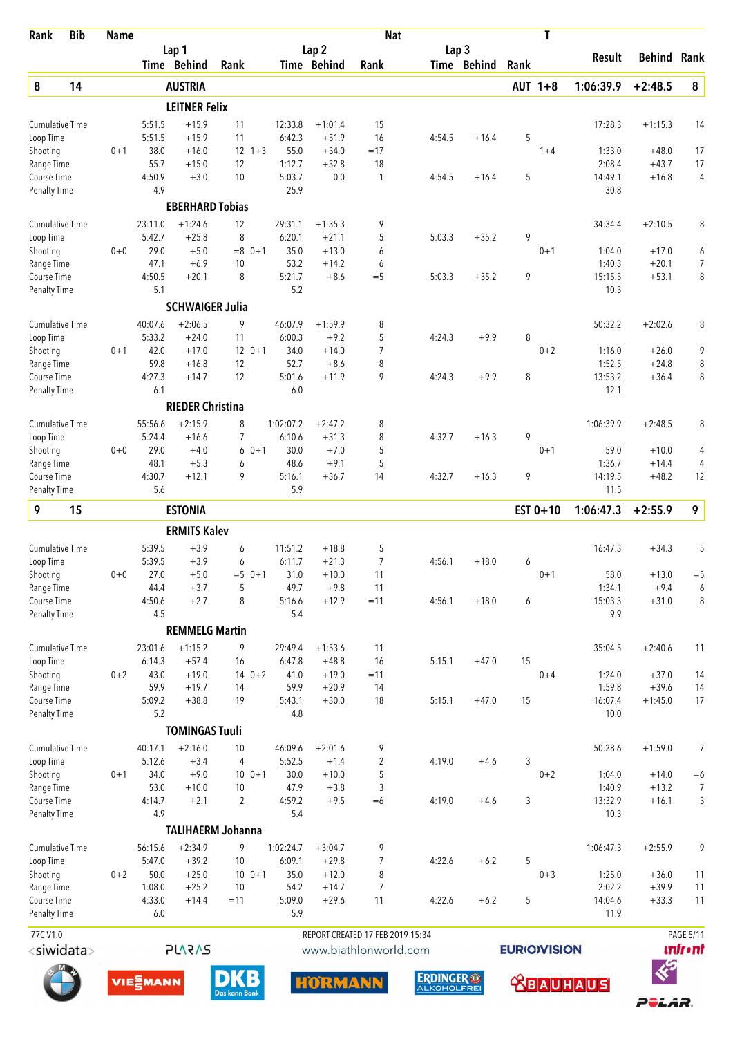| Rank                                | <b>Bib</b> | <b>Name</b> |                            |                         |                          |                   |                      | <b>Nat</b>                       |                  |             |                     | T       |                             |                    |                 |
|-------------------------------------|------------|-------------|----------------------------|-------------------------|--------------------------|-------------------|----------------------|----------------------------------|------------------|-------------|---------------------|---------|-----------------------------|--------------------|-----------------|
|                                     |            |             |                            | Lap 1                   |                          |                   | Lap <sub>2</sub>     |                                  | Lap <sub>3</sub> |             |                     |         | Result                      | Behind             | Rank            |
|                                     |            |             |                            | Time Behind             | Rank                     |                   | Time Behind          | Rank                             |                  | Time Behind | Rank                |         |                             |                    |                 |
| $\pmb{8}$                           | 14         |             |                            | <b>AUSTRIA</b>          |                          |                   |                      |                                  |                  |             | AUT 1+8             |         | 1:06:39.9                   | $+2:48.5$          | ${\bf 8}$       |
|                                     |            |             |                            | <b>LEITNER Felix</b>    |                          |                   |                      |                                  |                  |             |                     |         |                             |                    |                 |
| <b>Cumulative Time</b>              |            |             | 5:51.5                     | $+15.9$                 | 11                       | 12:33.8           | $+1:01.4$            | 15                               |                  |             |                     |         | 17:28.3                     | $+1:15.3$          | 14              |
| Loop Time<br>Shooting               |            | $0 + 1$     | 5:51.5<br>38.0             | $+15.9$<br>$+16.0$      | 11<br>$12 \t1+3$         | 6:42.3<br>55.0    | $+51.9$<br>$+34.0$   | 16<br>$=17$                      | 4:54.5           | $+16.4$     | 5                   | $1 + 4$ | 1:33.0                      | $+48.0$            | 17              |
| Range Time                          |            |             | 55.7                       | $+15.0$                 | 12                       | 1:12.7            | $+32.8$              | 18                               |                  |             |                     |         | 2:08.4                      | $+43.7$            | 17              |
| Course Time                         |            |             | 4:50.9                     | $+3.0$                  | 10                       | 5:03.7            | 0.0                  | 1                                | 4:54.5           | $+16.4$     | 5                   |         | 14:49.1                     | $+16.8$            | 4               |
| <b>Penalty Time</b>                 |            |             | 4.9                        |                         |                          | 25.9              |                      |                                  |                  |             |                     |         | 30.8                        |                    |                 |
|                                     |            |             |                            | <b>EBERHARD Tobias</b>  |                          |                   |                      |                                  |                  |             |                     |         |                             |                    |                 |
| <b>Cumulative Time</b>              |            |             | 23:11.0                    | $+1:24.6$               | 12                       | 29:31.1           | $+1:35.3$            | 9                                |                  |             |                     |         | 34:34.4                     | $+2:10.5$          | 8               |
| Loop Time<br>Shooting               |            | $0 + 0$     | 5:42.7<br>29.0             | $+25.8$<br>$+5.0$       | 8<br>$=8$ 0+1            | 6:20.1<br>35.0    | $+21.1$<br>$+13.0$   | 5<br>6                           | 5:03.3           | $+35.2$     | 9                   | $0 + 1$ | 1:04.0                      | $+17.0$            | 6               |
| Range Time                          |            |             | 47.1                       | $+6.9$                  | 10                       | 53.2              | $+14.2$              | 6                                |                  |             |                     |         | 1:40.3                      | $+20.1$            | $\overline{7}$  |
| Course Time                         |            |             | 4:50.5                     | $+20.1$                 | 8                        | 5:21.7            | $+8.6$               | $=$ 5                            | 5:03.3           | $+35.2$     | 9                   |         | 15:15.5                     | $+53.1$            | 8               |
| <b>Penalty Time</b>                 |            |             | 5.1                        |                         |                          | 5.2               |                      |                                  |                  |             |                     |         | 10.3                        |                    |                 |
|                                     |            |             |                            | <b>SCHWAIGER Julia</b>  |                          |                   |                      |                                  |                  |             |                     |         |                             |                    |                 |
| <b>Cumulative Time</b>              |            |             | 40:07.6                    | $+2:06.5$               | 9                        | 46:07.9           | $+1:59.9$            | 8                                |                  |             |                     |         | 50:32.2                     | $+2:02.6$          | 8               |
| Loop Time                           |            |             | 5:33.2                     | $+24.0$                 | 11                       | 6:00.3            | +9.2                 | 5                                | 4:24.3           | $+9.9$      | 8                   |         |                             |                    |                 |
| Shooting                            |            | $0 + 1$     | 42.0<br>59.8               | $+17.0$                 | $12 \t 0+1$              | 34.0<br>52.7      | $+14.0$              | $\overline{7}$<br>8              |                  |             |                     | $0 + 2$ | 1:16.0<br>1:52.5            | $+26.0$            | 9               |
| Range Time<br>Course Time           |            |             | 4:27.3                     | $+16.8$<br>$+14.7$      | 12<br>12                 | 5:01.6            | $+8.6$<br>$+11.9$    | 9                                | 4:24.3           | $+9.9$      | 8                   |         | 13:53.2                     | $+24.8$<br>$+36.4$ | 8<br>8          |
| <b>Penalty Time</b>                 |            |             | 6.1                        |                         |                          | 6.0               |                      |                                  |                  |             |                     |         | 12.1                        |                    |                 |
|                                     |            |             |                            | <b>RIEDER Christina</b> |                          |                   |                      |                                  |                  |             |                     |         |                             |                    |                 |
| Cumulative Time                     |            |             | 55:56.6                    | $+2:15.9$               | 8                        | 1:02:07.2         | $+2:47.2$            | 8                                |                  |             |                     |         | 1:06:39.9                   | $+2:48.5$          | 8               |
| Loop Time                           |            |             | 5:24.4                     | $+16.6$                 | $\overline{7}$           | 6:10.6            | $+31.3$              | 8                                | 4:32.7           | $+16.3$     | 9                   |         |                             |                    |                 |
| Shooting                            |            | $0 + 0$     | 29.0                       | $+4.0$                  | 6<br>$0 + 1$             | 30.0              | $+7.0$               | 5                                |                  |             |                     | $0 + 1$ | 59.0                        | $+10.0$            | 4               |
| Range Time                          |            |             | 48.1                       | $+5.3$                  | 6                        | 48.6              | $+9.1$               | 5                                |                  |             |                     |         | 1:36.7                      | $+14.4$            | 4               |
| Course Time<br><b>Penalty Time</b>  |            |             | 4:30.7<br>5.6              | $+12.1$                 | 9                        | 5:16.1<br>5.9     | $+36.7$              | 14                               | 4:32.7           | $+16.3$     | 9                   |         | 14:19.5<br>11.5             | $+48.2$            | 12              |
| 9                                   | 15         |             |                            | <b>ESTONIA</b>          |                          |                   |                      |                                  |                  |             | EST $0+10$          |         | 1:06:47.3                   | $+2:55.9$          | 9               |
|                                     |            |             |                            |                         |                          |                   |                      |                                  |                  |             |                     |         |                             |                    |                 |
|                                     |            |             |                            | <b>ERMITS Kalev</b>     |                          |                   |                      |                                  |                  |             |                     |         |                             |                    | 5               |
| <b>Cumulative Time</b><br>Loop Time |            |             | 5:39.5<br>5:39.5           | $+3.9$<br>$+3.9$        | 6<br>6                   | 11:51.2<br>6:11.7 | $+18.8$<br>$+21.3$   | 5<br>$\overline{7}$              | 4:56.1           | $+18.0$     | 6                   |         | 16:47.3                     | $+34.3$            |                 |
| Shooting                            |            | 0+0         | 27.0                       | $+5.0$                  | $=5$ 0+1                 | 31.0              | $+10.0$              | 11                               |                  |             |                     | $0 + 1$ | 58.0                        | $+13.0$            | $=$ 5           |
| Range Time                          |            |             | 44.4                       | $+3.7$                  | 5                        | 49.7              | $+9.8$               | 11                               |                  |             |                     |         | 1:34.1                      | $+9.4$             | 6               |
| Course Time                         |            |             | 4:50.6                     | $+2.7$                  | 8                        | 5:16.6            | $+12.9$              | $=11$                            | 4:56.1           | $+18.0$     | 6                   |         | 15:03.3                     | $+31.0$            | 8               |
| <b>Penalty Time</b>                 |            |             | 4.5                        |                         |                          | 5.4               |                      |                                  |                  |             |                     |         | 9.9                         |                    |                 |
|                                     |            |             |                            | <b>REMMELG Martin</b>   |                          |                   |                      |                                  |                  |             |                     |         |                             |                    |                 |
| <b>Cumulative Time</b>              |            |             | 23:01.6<br>6:14.3          | $+1:15.2$<br>$+57.4$    | 9<br>16                  | 29:49.4<br>6:47.8 | $+1:53.6$<br>$+48.8$ | 11<br>16                         | 5:15.1           | $+47.0$     | 15                  |         | 35:04.5                     | $+2:40.6$          | 11              |
| Loop Time<br>Shooting               |            | $0 + 2$     | 43.0                       | $+19.0$                 | $140+2$                  | 41.0              | $+19.0$              | $=11$                            |                  |             |                     | $0 + 4$ | 1:24.0                      | $+37.0$            | 14              |
| Range Time                          |            |             | 59.9                       | $+19.7$                 | 14                       | 59.9              | $+20.9$              | 14                               |                  |             |                     |         | 1:59.8                      | $+39.6$            | 14              |
| Course Time                         |            |             | 5:09.2                     | $+38.8$                 | 19                       | 5:43.1            | $+30.0$              | 18                               | 5:15.1           | $+47.0$     | 15                  |         | 16:07.4                     | $+1:45.0$          | 17              |
| <b>Penalty Time</b>                 |            |             | 5.2                        |                         |                          | 4.8               |                      |                                  |                  |             |                     |         | 10.0                        |                    |                 |
|                                     |            |             |                            | <b>TOMINGAS Tuuli</b>   |                          |                   |                      |                                  |                  |             |                     |         |                             |                    |                 |
| <b>Cumulative Time</b>              |            |             | 40:17.1                    | $+2:16.0$               | 10                       | 46:09.6           | $+2:01.6$            | 9                                |                  |             |                     |         | 50:28.6                     | $+1:59.0$          | 7               |
| Loop Time                           |            |             | 5:12.6                     | $+3.4$                  | 4                        | 5:52.5            | $+1.4$               | $\overline{2}$                   | 4:19.0           | $+4.6$      | 3                   |         |                             |                    |                 |
| Shooting                            |            | $0 + 1$     | 34.0                       | $+9.0$                  | $100 + 1$                | 30.0<br>47.9      | $+10.0$              | 5<br>3                           |                  |             |                     | $0 + 2$ | 1:04.0                      | $+14.0$            | $=6$            |
| Range Time<br>Course Time           |            |             | 53.0<br>4:14.7             | $+10.0$<br>$+2.1$       | 10<br>$\overline{2}$     | 4:59.2            | $+3.8$<br>$+9.5$     | $= 6$                            | 4:19.0           | $+4.6$      | 3                   |         | 1:40.9<br>13:32.9           | $+13.2$<br>$+16.1$ | 7<br>3          |
| <b>Penalty Time</b>                 |            |             | 4.9                        |                         |                          | 5.4               |                      |                                  |                  |             |                     |         | 10.3                        |                    |                 |
|                                     |            |             |                            |                         | <b>TALIHAERM Johanna</b> |                   |                      |                                  |                  |             |                     |         |                             |                    |                 |
| <b>Cumulative Time</b>              |            |             | 56:15.6                    | $+2:34.9$               | 9                        | 1:02:24.7         | $+3:04.7$            | 9                                |                  |             |                     |         | 1:06:47.3                   | $+2:55.9$          | 9               |
| Loop Time                           |            |             | 5:47.0                     | $+39.2$                 | 10                       | 6:09.1            | $+29.8$              | 7                                | 4:22.6           | $+6.2$      | 5                   |         |                             |                    |                 |
| Shooting                            |            | $0 + 2$     | 50.0                       | $+25.0$                 | $100 + 1$                | 35.0              | $+12.0$              | 8                                |                  |             |                     | $0 + 3$ | 1:25.0                      | $+36.0$            | 11              |
| Range Time<br>Course Time           |            |             | 1:08.0<br>4:33.0           | $+25.2$<br>$+14.4$      | 10<br>$=11$              | 54.2<br>5:09.0    | $+14.7$<br>$+29.6$   | $\overline{7}$<br>11             | 4:22.6           | $+6.2$      | 5                   |         | 2:02.2<br>14:04.6           | $+39.9$<br>$+33.3$ | 11<br>11        |
| Penalty Time                        |            |             | 6.0                        |                         |                          | 5.9               |                      |                                  |                  |             |                     |         | 11.9                        |                    |                 |
| 77CV1.0                             |            |             |                            |                         |                          |                   |                      | REPORT CREATED 17 FEB 2019 15:34 |                  |             |                     |         |                             |                    | PAGE 5/11       |
| <siwidata></siwidata>               |            |             |                            | <b>PLARAS</b>           |                          |                   |                      | www.biathlonworld.com            |                  |             | <b>EURIO)VISION</b> |         |                             |                    | <b>unfr</b> •nt |
|                                     |            |             |                            |                         |                          |                   |                      |                                  |                  |             |                     |         |                             | $\bm{\mathcal{E}}$ |                 |
|                                     |            |             | <b>VIE<sup>S</sup>MANN</b> |                         | <b>DKB</b>               |                   | <b>HARMANN</b>       |                                  | <b>ERDINGER®</b> |             |                     |         | <b><u>Appropriation</u></b> |                    |                 |













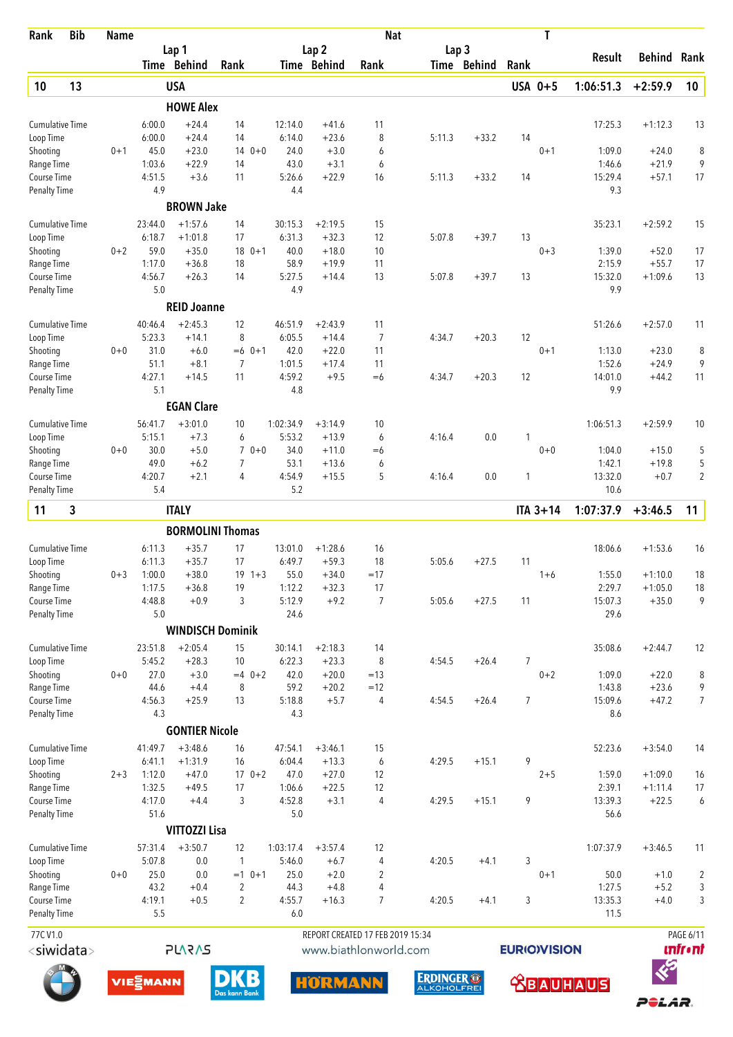| Rank                               | <b>Bib</b>            | <b>Name</b> |                   |                         |                          |        |                   |                      | <b>Nat</b>                                                |                                        |             |                     | T               |                   |                      |                              |
|------------------------------------|-----------------------|-------------|-------------------|-------------------------|--------------------------|--------|-------------------|----------------------|-----------------------------------------------------------|----------------------------------------|-------------|---------------------|-----------------|-------------------|----------------------|------------------------------|
|                                    |                       |             |                   | Lap 1                   |                          |        |                   | Lap <sub>2</sub>     |                                                           | Lap <sub>3</sub>                       |             |                     |                 | Result            | <b>Behind</b>        | Rank                         |
|                                    |                       |             |                   | Time Behind             | Rank                     |        |                   | Time Behind          | Rank                                                      |                                        | Time Behind | Rank                |                 |                   |                      |                              |
| 10                                 | 13                    |             |                   | <b>USA</b>              |                          |        |                   |                      |                                                           |                                        |             |                     | USA 0+5         | 1:06:51.3         | $+2:59.9$            | 10                           |
|                                    |                       |             |                   | <b>HOWE Alex</b>        |                          |        |                   |                      |                                                           |                                        |             |                     |                 |                   |                      |                              |
| <b>Cumulative Time</b>             |                       |             | 6:00.0            | $+24.4$<br>$+24.4$      | 14                       |        | 12:14.0           | $+41.6$              | 11                                                        |                                        |             |                     |                 | 17:25.3           | $+1:12.3$            | 13                           |
| Loop Time<br>Shooting              |                       | $0 + 1$     | 6:00.0<br>45.0    | $+23.0$                 | 14<br>$140+0$            |        | 6:14.0<br>24.0    | $+23.6$<br>$+3.0$    | 8<br>6                                                    | 5:11.3                                 | $+33.2$     | 14                  | $0 + 1$         | 1:09.0            | $+24.0$              | 8                            |
| Range Time                         |                       |             | 1:03.6            | $+22.9$                 | 14                       |        | 43.0              | $+3.1$               | 6                                                         |                                        |             |                     |                 | 1:46.6            | $+21.9$              | 9                            |
| Course Time                        |                       |             | 4:51.5            | $+3.6$                  | 11                       |        | 5:26.6            | $+22.9$              | 16                                                        | 5:11.3                                 | $+33.2$     | 14                  |                 | 15:29.4           | $+57.1$              | 17                           |
| <b>Penalty Time</b>                |                       |             | 4.9               |                         |                          |        | 4.4               |                      |                                                           |                                        |             |                     |                 | 9.3               |                      |                              |
|                                    |                       |             |                   | <b>BROWN Jake</b>       |                          |        |                   |                      |                                                           |                                        |             |                     |                 |                   |                      |                              |
| <b>Cumulative Time</b>             |                       |             | 23:44.0<br>6:18.7 | $+1:57.6$<br>$+1:01.8$  | 14<br>17                 |        | 30:15.3<br>6:31.3 | $+2:19.5$<br>$+32.3$ | 15<br>12                                                  | 5:07.8                                 | $+39.7$     | 13                  |                 | 35:23.1           | $+2:59.2$            | 15                           |
| Loop Time<br>Shooting              |                       | $0 + 2$     | 59.0              | $+35.0$                 | $180+1$                  |        | 40.0              | $+18.0$              | 10                                                        |                                        |             |                     | $0 + 3$         | 1:39.0            | $+52.0$              | 17                           |
| Range Time                         |                       |             | 1:17.0            | $+36.8$                 | 18                       |        | 58.9              | $+19.9$              | 11                                                        |                                        |             |                     |                 | 2:15.9            | $+55.7$              | 17                           |
| Course Time                        |                       |             | 4:56.7            | $+26.3$                 | 14                       |        | 5:27.5            | $+14.4$              | 13                                                        | 5:07.8                                 | $+39.7$     | 13                  |                 | 15:32.0           | $+1:09.6$            | 13                           |
| <b>Penalty Time</b>                |                       |             | 5.0               |                         |                          |        | 4.9               |                      |                                                           |                                        |             |                     |                 | 9.9               |                      |                              |
|                                    |                       |             |                   | <b>REID Joanne</b>      |                          |        |                   |                      |                                                           |                                        |             |                     |                 |                   |                      |                              |
| <b>Cumulative Time</b>             |                       |             | 40:46.4           | $+2:45.3$               | 12                       |        | 46:51.9           | $+2:43.9$            | 11                                                        |                                        |             |                     |                 | 51:26.6           | $+2:57.0$            | 11                           |
| Loop Time                          |                       |             | 5:23.3            | $+14.1$                 | 8                        |        | 6:05.5            | $+14.4$              | $\overline{7}$                                            | 4:34.7                                 | $+20.3$     | 12                  |                 |                   |                      |                              |
| Shooting<br>Range Time             |                       | $0 + 0$     | 31.0<br>51.1      | $+6.0$<br>$+8.1$        | $=6$ 0+1<br>7            |        | 42.0<br>1:01.5    | $+22.0$<br>$+17.4$   | 11<br>11                                                  |                                        |             |                     | $0 + 1$         | 1:13.0<br>1:52.6  | $+23.0$<br>$+24.9$   | 8<br>9                       |
| Course Time                        |                       |             | 4:27.1            | $+14.5$                 | 11                       |        | 4:59.2            | $+9.5$               | $=6$                                                      | 4:34.7                                 | $+20.3$     | 12                  |                 | 14:01.0           | $+44.2$              | 11                           |
| <b>Penalty Time</b>                |                       |             | 5.1               |                         |                          |        | 4.8               |                      |                                                           |                                        |             |                     |                 | 9.9               |                      |                              |
|                                    |                       |             |                   | <b>EGAN Clare</b>       |                          |        |                   |                      |                                                           |                                        |             |                     |                 |                   |                      |                              |
| <b>Cumulative Time</b>             |                       |             | 56:41.7           | $+3:01.0$               | 10                       |        | 1:02:34.9         | $+3:14.9$            | 10                                                        |                                        |             |                     |                 | 1:06:51.3         | $+2:59.9$            | 10                           |
| Loop Time                          |                       |             | 5:15.1            | $+7.3$                  | 6                        |        | 5:53.2            | $+13.9$              | 6                                                         | 4:16.4                                 | 0.0         | 1                   |                 |                   |                      |                              |
| Shooting                           |                       | $0 + 0$     | 30.0<br>49.0      | $+5.0$<br>$+6.2$        | 7                        | $70+0$ | 34.0<br>53.1      | $+11.0$<br>$+13.6$   | $=6$<br>6                                                 |                                        |             |                     | $0 + 0$         | 1:04.0<br>1:42.1  | $+15.0$<br>$+19.8$   | 5<br>5                       |
| Range Time<br>Course Time          |                       |             | 4:20.7            | $+2.1$                  | 4                        |        | 4:54.9            | $+15.5$              | 5                                                         | 4:16.4                                 | 0.0         | 1                   |                 | 13:32.0           | $+0.7$               | 2                            |
| <b>Penalty Time</b>                |                       |             | 5.4               |                         |                          |        | 5.2               |                      |                                                           |                                        |             |                     |                 | 10.6              |                      |                              |
| 11                                 | 3                     |             |                   | <b>ITALY</b>            |                          |        |                   |                      |                                                           |                                        |             |                     | <b>ITA 3+14</b> | 1:07:37.9         | $+3:46.5$            | 11                           |
|                                    |                       |             |                   | <b>BORMOLINI Thomas</b> |                          |        |                   |                      |                                                           |                                        |             |                     |                 |                   |                      |                              |
| <b>Cumulative Time</b>             |                       |             | 6:11.3            | $+35.7$                 | 17                       |        | 13:01.0           | $+1:28.6$            | 16                                                        |                                        |             |                     |                 | 18:06.6           | $+1:53.6$            | 16                           |
| Loop Time                          |                       |             | 6:11.3            | $+35.7$                 | 17                       |        | 6:49.7            | $+59.3$              | 18                                                        | 5:05.6                                 | $+27.5$     | 11                  |                 |                   |                      |                              |
| Shooting                           |                       | $0 + 3$     | 1:00.0            | $+38.0$                 | $19 \t1+3$               |        | 55.0              | $+34.0$              | $=17$                                                     |                                        |             |                     | $1 + 6$         | 1:55.0            | $+1:10.0$            | 18                           |
| Range Time<br>Course Time          |                       |             | 1:17.5<br>4:48.8  | $+36.8$<br>$+0.9$       | 19<br>3                  |        | 1:12.2<br>5:12.9  | $+32.3$<br>$+9.2$    | 17<br>$\overline{7}$                                      | 5:05.6                                 | $+27.5$     | 11                  |                 | 2:29.7<br>15:07.3 | $+1:05.0$<br>$+35.0$ | 18<br>9                      |
| <b>Penalty Time</b>                |                       |             | 5.0               |                         |                          |        | 24.6              |                      |                                                           |                                        |             |                     |                 | 29.6              |                      |                              |
|                                    |                       |             |                   | <b>WINDISCH Dominik</b> |                          |        |                   |                      |                                                           |                                        |             |                     |                 |                   |                      |                              |
| <b>Cumulative Time</b>             |                       |             | 23:51.8           | $+2:05.4$               | 15                       |        | 30:14.1           | $+2:18.3$            | 14                                                        |                                        |             |                     |                 | 35:08.6           | $+2:44.7$            | 12                           |
| Loop Time                          |                       |             | 5:45.2            | $+28.3$                 | 10                       |        | 6:22.3            | $+23.3$              | 8                                                         | 4:54.5                                 | $+26.4$     | 7                   |                 |                   |                      |                              |
| Shooting                           |                       | $0 + 0$     | 27.0              | $+3.0$                  | $=4$ 0+2                 |        | 42.0              | $+20.0$              | $=13$                                                     |                                        |             |                     | $0 + 2$         | 1:09.0            | $+22.0$              | 8                            |
| Range Time                         |                       |             | 44.6              | $+4.4$                  | 8                        |        | 59.2              | $+20.2$              | $=12$                                                     |                                        |             |                     |                 | 1:43.8            | $+23.6$              | 9                            |
| Course Time<br><b>Penalty Time</b> |                       |             | 4:56.3<br>4.3     | $+25.9$                 | 13                       |        | 5:18.8<br>4.3     | $+5.7$               | 4                                                         | 4:54.5                                 | $+26.4$     | $\overline{7}$      |                 | 15:09.6<br>8.6    | $+47.2$              | $\overline{7}$               |
|                                    |                       |             |                   | <b>GONTIER Nicole</b>   |                          |        |                   |                      |                                                           |                                        |             |                     |                 |                   |                      |                              |
| Cumulative Time                    |                       |             | 41:49.7           | $+3:48.6$               | 16                       |        | 47:54.1           | $+3:46.1$            | 15                                                        |                                        |             |                     |                 | 52:23.6           | $+3:54.0$            | 14                           |
| Loop Time                          |                       |             | 6:41.1            | $+1:31.9$               | 16                       |        | 6:04.4            | $+13.3$              | 6                                                         | 4:29.5                                 | $+15.1$     | 9                   |                 |                   |                      |                              |
| Shooting                           |                       | $2 + 3$     | 1:12.0            | $+47.0$                 | $170+2$                  |        | 47.0              | $+27.0$              | 12                                                        |                                        |             |                     | $2 + 5$         | 1:59.0            | $+1:09.0$            | 16                           |
| Range Time                         |                       |             | 1:32.5            | $+49.5$                 | 17                       |        | 1:06.6            | $+22.5$              | 12                                                        |                                        |             |                     |                 | 2:39.1            | $+1:11.4$            | 17                           |
| Course Time                        |                       |             | 4:17.0            | $+4.4$                  | 3                        |        | 4:52.8            | $+3.1$               | 4                                                         | 4:29.5                                 | $+15.1$     | 9                   |                 | 13:39.3           | $+22.5$              | 6                            |
| <b>Penalty Time</b>                |                       |             | 51.6              | <b>VITTOZZI Lisa</b>    |                          |        | 5.0               |                      |                                                           |                                        |             |                     |                 | 56.6              |                      |                              |
| <b>Cumulative Time</b>             |                       |             | 57:31.4           | $+3:50.7$               | 12                       |        | 1:03:17.4         | $+3:57.4$            | 12                                                        |                                        |             |                     |                 | 1:07:37.9         | $+3:46.5$            | 11                           |
| Loop Time                          |                       |             | 5:07.8            | 0.0                     | 1                        |        | 5:46.0            | $+6.7$               | 4                                                         | 4:20.5                                 | $+4.1$      | 3                   |                 |                   |                      |                              |
| Shooting                           |                       | $0 + 0$     | 25.0              | 0.0                     | $=1$ 0+1                 |        | 25.0              | $+2.0$               | 2                                                         |                                        |             |                     | $0 + 1$         | 50.0              | $+1.0$               | $\overline{c}$               |
| Range Time                         |                       |             | 43.2              | $+0.4$                  | $\overline{2}$           |        | 44.3              | $+4.8$               | 4                                                         |                                        |             |                     |                 | 1:27.5            | $+5.2$               | 3                            |
| Course Time<br>Penalty Time        |                       |             | 4:19.1<br>5.5     | $+0.5$                  | $\overline{2}$           |        | 4:55.7<br>6.0     | $+16.3$              | $\overline{7}$                                            | 4:20.5                                 | $+4.1$      | 3                   |                 | 13:35.3<br>11.5   | $+4.0$               | 3                            |
|                                    |                       |             |                   |                         |                          |        |                   |                      |                                                           |                                        |             |                     |                 |                   |                      |                              |
| 77CV1.0                            | <siwidata></siwidata> |             |                   | <b>PLARAS</b>           |                          |        |                   |                      | REPORT CREATED 17 FEB 2019 15:34<br>www.biathlonworld.com |                                        |             | <b>EURIO)VISION</b> |                 |                   |                      | PAGE 6/11<br><b>unfr</b> •nt |
|                                    |                       |             |                   |                         |                          |        |                   |                      |                                                           |                                        |             |                     |                 |                   | $\ll$                |                              |
|                                    |                       |             | VIESMANN          |                         | B<br>D)<br>Das kann Bank |        |                   | <b>HORMANN</b>       |                                                           | <b>ERDINGER®</b><br><b>ALKOHOLFREI</b> |             |                     |                 | <b>ABAUHAUS</b>   |                      |                              |

POLAR.





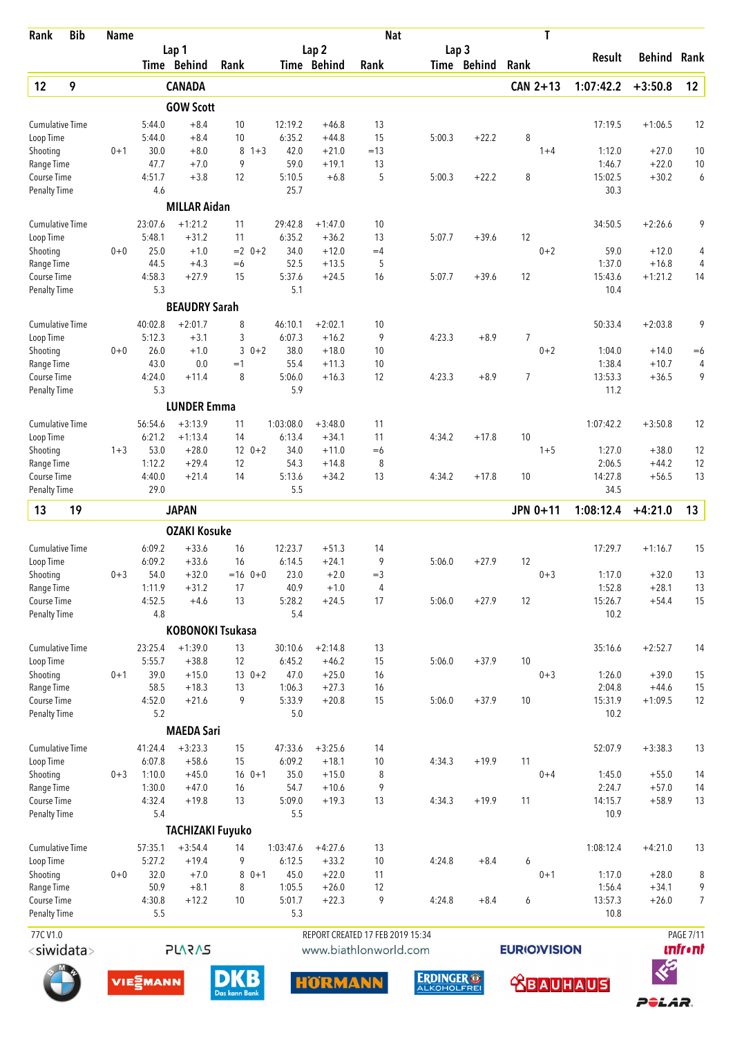| Rank                                | <b>Bib</b> | <b>Name</b> |                   |                         |             |                   |                                 |          | <b>Nat</b>                                                |                                 |                    | T        |                   |                    |                                     |
|-------------------------------------|------------|-------------|-------------------|-------------------------|-------------|-------------------|---------------------------------|----------|-----------------------------------------------------------|---------------------------------|--------------------|----------|-------------------|--------------------|-------------------------------------|
|                                     |            |             |                   | Lap 1<br>Time Behind    | Rank        |                   | Lap <sub>2</sub><br>Time Behind | Rank     |                                                           | Lap <sub>3</sub><br>Time Behind | Rank               |          | Result            | Behind             | Rank                                |
| 12                                  | 9          |             |                   | <b>CANADA</b>           |             |                   |                                 |          |                                                           |                                 |                    | CAN 2+13 | 1:07:42.2         | $+3:50.8$          | 12                                  |
|                                     |            |             |                   | <b>GOW Scott</b>        |             |                   |                                 |          |                                                           |                                 |                    |          |                   |                    |                                     |
| <b>Cumulative Time</b>              |            |             | 5:44.0            | $+8.4$                  | 10          | 12:19.2           | $+46.8$                         | 13       |                                                           |                                 |                    |          | 17:19.5           | $+1:06.5$          | 12                                  |
| Loop Time                           |            |             | 5:44.0            | $+8.4$                  | 10          | 6:35.2            | $+44.8$                         | 15       | 5:00.3                                                    | $+22.2$                         | 8                  |          |                   |                    |                                     |
| Shooting                            |            | $0 + 1$     | 30.0              | $+8.0$                  | 8           | $1 + 3$           | 42.0<br>$+21.0$                 | $=13$    |                                                           |                                 |                    | $1 + 4$  | 1:12.0            | $+27.0$            | 10                                  |
| Range Time                          |            |             | 47.7              | $+7.0$                  | 9           |                   | 59.0<br>$+19.1$                 | 13       |                                                           |                                 |                    |          | 1:46.7            | $+22.0$            | 10                                  |
| Course Time<br><b>Penalty Time</b>  |            |             | 4:51.7<br>4.6     | $+3.8$                  | 12          | 5:10.5            | $+6.8$<br>25.7                  | 5        | 5:00.3                                                    | $+22.2$                         | 8                  |          | 15:02.5<br>30.3   | $+30.2$            | 6                                   |
|                                     |            |             |                   | <b>MILLAR Aidan</b>     |             |                   |                                 |          |                                                           |                                 |                    |          |                   |                    |                                     |
| <b>Cumulative Time</b>              |            |             | 23:07.6           | $+1:21.2$               | 11          | 29:42.8           | $+1:47.0$                       | 10       |                                                           |                                 |                    |          | 34:50.5           | $+2:26.6$          | 9                                   |
| Loop Time                           |            |             | 5:48.1            | $+31.2$                 | 11          | 6:35.2            | $+36.2$                         | 13       | 5:07.7                                                    | $+39.6$                         | 12                 |          |                   |                    |                                     |
| Shooting                            |            | $0 + 0$     | 25.0              | $+1.0$                  | $= 2$ 0+2   |                   | 34.0<br>$+12.0$                 | $=4$     |                                                           |                                 |                    | $0 + 2$  | 59.0              | $+12.0$            | 4                                   |
| Range Time                          |            |             | 44.5              | $+4.3$                  | $=6$        |                   | 52.5<br>$+13.5$                 | 5        |                                                           |                                 |                    |          | 1:37.0            | $+16.8$            | 4                                   |
| Course Time                         |            |             | 4:58.3            | $+27.9$                 | 15          | 5:37.6            | $+24.5$                         | 16       | 5:07.7                                                    | $+39.6$                         | 12                 |          | 15:43.6           | $+1:21.2$          | 14                                  |
| <b>Penalty Time</b>                 |            |             | 5.3               |                         |             |                   | 5.1                             |          |                                                           |                                 |                    |          | 10.4              |                    |                                     |
|                                     |            |             |                   | <b>BEAUDRY Sarah</b>    |             |                   |                                 |          |                                                           |                                 |                    |          |                   |                    |                                     |
| <b>Cumulative Time</b>              |            |             | 40:02.8           | $+2:01.7$               | 8           | 46:10.1           | $+2:02.1$                       | 10       |                                                           |                                 |                    |          | 50:33.4           | $+2:03.8$          | 9                                   |
| Loop Time<br>Shooting               |            | $0 + 0$     | 5:12.3<br>26.0    | $+3.1$<br>$+1.0$        | 3<br>3      | 6:07.3<br>$0 + 2$ | $+16.2$<br>38.0<br>$+18.0$      | 9<br>10  | 4:23.3                                                    | $+8.9$                          | $\overline{7}$     | $0 + 2$  | 1:04.0            | $+14.0$            | $=6$                                |
| Range Time                          |            |             | 43.0              | 0.0                     | $=1$        |                   | 55.4<br>$+11.3$                 | 10       |                                                           |                                 |                    |          | 1:38.4            | $+10.7$            | 4                                   |
| Course Time                         |            |             | 4:24.0            | $+11.4$                 | 8           | 5:06.0            | $+16.3$                         | 12       | 4:23.3                                                    | $+8.9$                          | $\overline{7}$     |          | 13:53.3           | $+36.5$            | 9                                   |
| <b>Penalty Time</b>                 |            |             | 5.3               |                         |             |                   | 5.9                             |          |                                                           |                                 |                    |          | 11.2              |                    |                                     |
|                                     |            |             |                   | <b>LUNDER Emma</b>      |             |                   |                                 |          |                                                           |                                 |                    |          |                   |                    |                                     |
| <b>Cumulative Time</b>              |            |             | 56:54.6           | $+3:13.9$               | 11          | 1:03:08.0         | $+3:48.0$                       | 11       |                                                           |                                 |                    |          | 1:07:42.2         | $+3:50.8$          | 12                                  |
| Loop Time                           |            |             | 6:21.2            | $+1:13.4$               | 14          | 6:13.4            | $+34.1$                         | 11       | 4:34.2                                                    | $+17.8$                         | 10                 |          |                   |                    |                                     |
| Shooting                            |            | $1 + 3$     | 53.0              | $+28.0$                 | $120+2$     |                   | 34.0<br>$+11.0$                 | $=6$     |                                                           |                                 |                    | $1 + 5$  | 1:27.0            | $+38.0$            | 12                                  |
| Range Time<br>Course Time           |            |             | 1:12.2<br>4:40.0  | $+29.4$<br>$+21.4$      | 12<br>14    | 5:13.6            | 54.3<br>$+14.8$<br>$+34.2$      | 8<br>13  | 4:34.2                                                    | $+17.8$                         | 10                 |          | 2:06.5<br>14:27.8 | $+44.2$<br>$+56.5$ | 12<br>13                            |
| <b>Penalty Time</b>                 |            |             | 29.0              |                         |             |                   | 5.5                             |          |                                                           |                                 |                    |          | 34.5              |                    |                                     |
| 13                                  | 19         |             |                   | <b>JAPAN</b>            |             |                   |                                 |          |                                                           |                                 |                    | JPN 0+11 | 1:08:12.4         | $+4:21.0$          | 13                                  |
|                                     |            |             |                   | <b>OZAKI Kosuke</b>     |             |                   |                                 |          |                                                           |                                 |                    |          |                   |                    |                                     |
| <b>Cumulative Time</b>              |            |             | 6:09.2            | $+33.6$                 | 16          | 12:23.7           | $+51.3$                         | 14       |                                                           |                                 |                    |          | 17:29.7           | $+1:16.7$          | 15                                  |
| Loop Time                           |            |             | 6:09.2            | $+33.6$                 | 16          | 6:14.5            | $+24.1$                         | 9        | 5:06.0                                                    | $+27.9$                         | 12                 |          |                   |                    |                                     |
| Shooting                            |            | $0 + 3$     | 54.0              | $+32.0$                 | $=16$ 0+0   |                   | 23.0<br>$+2.0$                  | $=$ 3    |                                                           |                                 |                    | $0 + 3$  | 1:17.0            | $+32.0$            | 13                                  |
| Range Time                          |            |             | 1:11.9            | $+31.2$                 | 17          |                   | 40.9<br>$+1.0$                  | 4        |                                                           |                                 |                    |          | 1:52.8            | $+28.1$            | 13                                  |
| Course Time<br><b>Penalty Time</b>  |            |             | 4:52.5<br>4.8     | $+4.6$                  | 13          | 5:28.2            | $+24.5$<br>5.4                  | 17       | 5:06.0                                                    | $+27.9$                         | 12                 |          | 15:26.7<br>10.2   | $+54.4$            | 15                                  |
|                                     |            |             |                   | <b>KOBONOKI Tsukasa</b> |             |                   |                                 |          |                                                           |                                 |                    |          |                   |                    |                                     |
|                                     |            |             |                   | $+1:39.0$               |             |                   |                                 |          |                                                           |                                 |                    |          |                   |                    |                                     |
| <b>Cumulative Time</b><br>Loop Time |            |             | 23:25.4<br>5:55.7 | $+38.8$                 | 13<br>12    | 30:10.6<br>6:45.2 | $+2:14.8$<br>$+46.2$            | 13<br>15 | 5:06.0                                                    | $+37.9$                         | 10                 |          | 35:16.6           | $+2:52.7$          | 14                                  |
| Shooting                            |            | $0 + 1$     | 39.0              | $+15.0$                 | $130+2$     |                   | 47.0<br>$+25.0$                 | 16       |                                                           |                                 |                    | $0 + 3$  | 1:26.0            | $+39.0$            | 15                                  |
| Range Time                          |            |             | 58.5              | $+18.3$                 | 13          | 1:06.3            | $+27.3$                         | 16       |                                                           |                                 |                    |          | 2:04.8            | $+44.6$            | 15                                  |
| Course Time                         |            |             | 4:52.0            | $+21.6$                 | 9           | 5:33.9            | $+20.8$                         | 15       | 5:06.0                                                    | $+37.9$                         | 10                 |          | 15:31.9           | $+1:09.5$          | 12                                  |
| <b>Penalty Time</b>                 |            |             | 5.2               | <b>MAEDA Sari</b>       |             |                   | 5.0                             |          |                                                           |                                 |                    |          | 10.2              |                    |                                     |
|                                     |            |             |                   |                         |             |                   |                                 |          |                                                           |                                 |                    |          |                   |                    |                                     |
| <b>Cumulative Time</b><br>Loop Time |            |             | 41:24.4<br>6:07.8 | $+3:23.3$<br>$+58.6$    | 15<br>15    | 47:33.6<br>6:09.2 | $+3:25.6$<br>$+18.1$            | 14<br>10 | 4:34.3                                                    | $+19.9$                         | 11                 |          | 52:07.9           | $+3:38.3$          | 13                                  |
| Shooting                            |            | $0 + 3$     | 1:10.0            | $+45.0$                 | $16 \t 0+1$ |                   | 35.0<br>$+15.0$                 | 8        |                                                           |                                 |                    | $0 + 4$  | 1:45.0            | $+55.0$            | 14                                  |
| Range Time                          |            |             | 1:30.0            | $+47.0$                 | 16          |                   | 54.7<br>$+10.6$                 | 9        |                                                           |                                 |                    |          | 2:24.7            | $+57.0$            | 14                                  |
| Course Time                         |            |             | 4:32.4            | $+19.8$                 | 13          | 5:09.0            | $+19.3$                         | 13       | 4:34.3                                                    | $+19.9$                         | 11                 |          | 14:15.7           | $+58.9$            | 13                                  |
| <b>Penalty Time</b>                 |            |             | 5.4               |                         |             |                   | 5.5                             |          |                                                           |                                 |                    |          | 10.9              |                    |                                     |
|                                     |            |             |                   | <b>TACHIZAKI Fuyuko</b> |             |                   |                                 |          |                                                           |                                 |                    |          |                   |                    |                                     |
| <b>Cumulative Time</b>              |            |             | 57:35.1           | $+3:54.4$               | 14          | 1:03:47.6         | $+4:27.6$                       | 13       |                                                           |                                 |                    |          | 1:08:12.4         | $+4:21.0$          | 13                                  |
| Loop Time<br>Shooting               |            |             | 5:27.2            | $+19.4$                 | 9<br>$80+1$ | 6:12.5            | $+33.2$<br>45.0                 | 10       | 4:24.8                                                    | $+8.4$                          | 6                  |          |                   |                    |                                     |
| Range Time                          |            | $0 + 0$     | 32.0<br>50.9      | $+7.0$<br>$+8.1$        | 8           | 1:05.5            | $+22.0$<br>$+26.0$              | 11<br>12 |                                                           |                                 |                    | $0 + 1$  | 1:17.0<br>1:56.4  | $+28.0$<br>$+34.1$ | 8<br>9                              |
| Course Time                         |            |             | 4:30.8            | $+12.2$                 | 10          | 5:01.7            | $+22.3$                         | 9        | 4:24.8                                                    | $+8.4$                          | 6                  |          | 13:57.3           | $+26.0$            | 7                                   |
| <b>Penalty Time</b>                 |            |             | 5.5               |                         |             |                   | 5.3                             |          |                                                           |                                 |                    |          | 10.8              |                    |                                     |
|                                     |            |             |                   |                         |             |                   |                                 |          |                                                           |                                 |                    |          |                   |                    |                                     |
|                                     |            |             |                   |                         |             |                   |                                 |          |                                                           |                                 |                    |          |                   |                    |                                     |
| 77CV1.0<br><siwidata></siwidata>    |            |             |                   | <b>PLARAS</b>           |             |                   |                                 |          | REPORT CREATED 17 FEB 2019 15:34<br>www.biathlonworld.com |                                 | <b>EURIOVISION</b> |          |                   |                    | <b>PAGE 7/11</b><br><b>unfr</b> •nt |











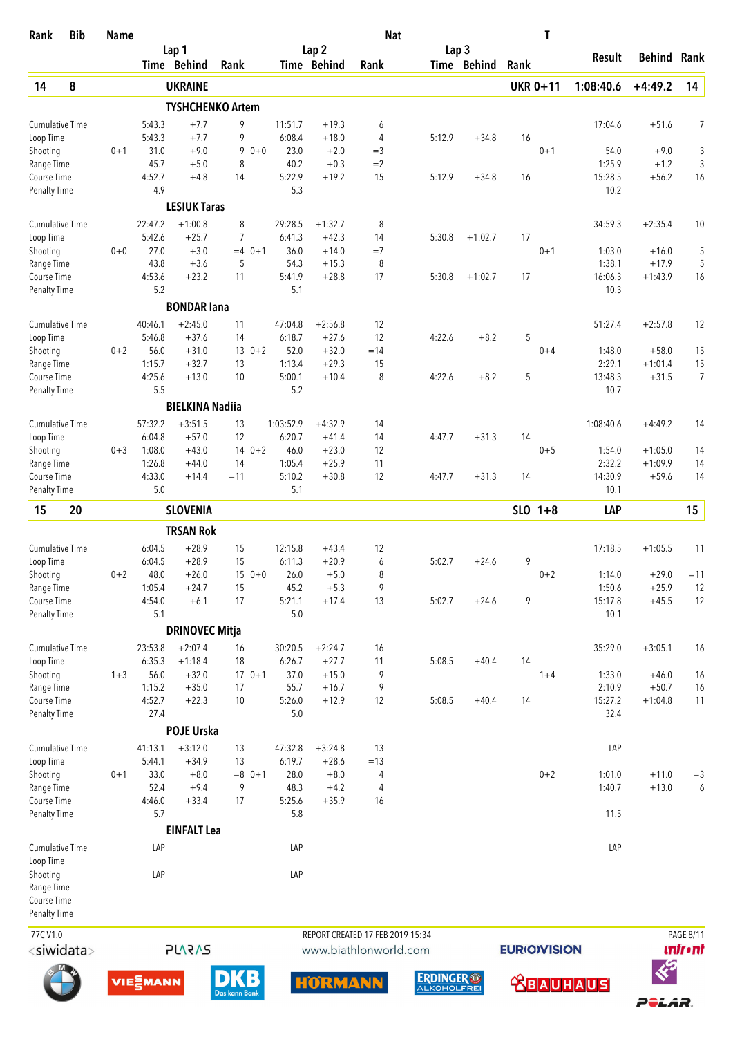| Rank                                | <b>Bib</b> | <b>Name</b> |                        |                         |                     |          |                   |                    | <b>Nat</b>                       |                                         |                  |                     | T               |                   |                      |                  |
|-------------------------------------|------------|-------------|------------------------|-------------------------|---------------------|----------|-------------------|--------------------|----------------------------------|-----------------------------------------|------------------|---------------------|-----------------|-------------------|----------------------|------------------|
|                                     |            |             |                        | Lap 1                   |                     |          |                   | Lap 2              |                                  |                                         | Lap <sub>3</sub> |                     |                 | Result            | <b>Behind Rank</b>   |                  |
|                                     |            |             |                        | Time Behind             | Rank                |          |                   | Time Behind        | Rank                             |                                         | Time Behind      | Rank                |                 |                   |                      |                  |
| 14                                  | 8          |             |                        | <b>UKRAINE</b>          |                     |          |                   |                    |                                  |                                         |                  |                     | <b>UKR 0+11</b> | 1:08:40.6         | $+4:49.2$            | 14               |
|                                     |            |             |                        | <b>TYSHCHENKO Artem</b> |                     |          |                   |                    |                                  |                                         |                  |                     |                 |                   |                      |                  |
| <b>Cumulative Time</b><br>Loop Time |            |             | 5:43.3<br>5:43.3       | $+7.7$<br>$+7.7$        | 9<br>9              |          | 11:51.7<br>6:08.4 | $+19.3$<br>$+18.0$ | 6<br>4                           | 5:12.9                                  | $+34.8$          | 16                  |                 | 17:04.6           | $+51.6$              | 7                |
| Shooting                            |            | $0 + 1$     | 31.0                   | $+9.0$                  | 9                   | $0 + 0$  | 23.0              | $+2.0$             | $=$ 3                            |                                         |                  |                     | $0 + 1$         | 54.0              | $+9.0$               | 3                |
| Range Time                          |            |             | 45.7                   | $+5.0$                  | 8                   |          | 40.2              | $+0.3$             | $=2$                             |                                         |                  |                     |                 | 1:25.9            | $+1.2$               | 3                |
| Course Time                         |            |             | 4:52.7                 | $+4.8$                  | 14                  |          | 5:22.9            | $+19.2$            | 15                               | 5:12.9                                  | $+34.8$          | 16                  |                 | 15:28.5           | $+56.2$              | 16               |
| <b>Penalty Time</b>                 |            |             | 4.9                    |                         |                     |          | 5.3               |                    |                                  |                                         |                  |                     |                 | 10.2              |                      |                  |
|                                     |            |             |                        | <b>LESIUK Taras</b>     |                     |          |                   |                    |                                  |                                         |                  |                     |                 |                   |                      |                  |
| <b>Cumulative Time</b>              |            |             | 22:47.2                | $+1:00.8$               | 8<br>$\overline{7}$ |          | 29:28.5           | $+1:32.7$          | 8                                |                                         |                  |                     |                 | 34:59.3           | $+2:35.4$            | 10               |
| Loop Time<br>Shooting               |            | $0 + 0$     | 5:42.6<br>27.0         | $+25.7$<br>$+3.0$       |                     | $=4$ 0+1 | 6:41.3<br>36.0    | $+42.3$<br>$+14.0$ | 14<br>$=7$                       | 5:30.8                                  | $+1:02.7$        | 17                  | $0 + 1$         | 1:03.0            | $+16.0$              | 5                |
| Range Time                          |            |             | 43.8                   | $+3.6$                  | 5                   |          | 54.3              | $+15.3$            | 8                                |                                         |                  |                     |                 | 1:38.1            | $+17.9$              | 5                |
| Course Time                         |            |             | 4:53.6                 | $+23.2$                 | 11                  |          | 5:41.9            | $+28.8$            | 17                               | 5:30.8                                  | $+1:02.7$        | 17                  |                 | 16:06.3           | $+1:43.9$            | 16               |
| <b>Penalty Time</b>                 |            |             | 5.2                    |                         |                     |          | 5.1               |                    |                                  |                                         |                  |                     |                 | 10.3              |                      |                  |
|                                     |            |             |                        | <b>BONDAR lana</b>      |                     |          |                   |                    |                                  |                                         |                  |                     |                 |                   |                      |                  |
| <b>Cumulative Time</b>              |            |             | 40:46.1                | $+2:45.0$               | 11                  |          | 47:04.8           | $+2:56.8$          | 12                               |                                         |                  |                     |                 | 51:27.4           | $+2:57.8$            | 12               |
| Loop Time                           |            |             | 5:46.8                 | $+37.6$                 | 14                  |          | 6:18.7            | $+27.6$            | 12                               | 4:22.6                                  | $+8.2$           | 5                   |                 |                   |                      |                  |
| Shooting                            |            | $0 + 2$     | 56.0                   | $+31.0$                 |                     | $130+2$  | 52.0              | $+32.0$            | $=14$                            |                                         |                  |                     | $0 + 4$         | 1:48.0            | $+58.0$              | 15               |
| Range Time<br>Course Time           |            |             | 1:15.7<br>4:25.6       | $+32.7$<br>$+13.0$      | 13<br>10            |          | 1:13.4<br>5:00.1  | $+29.3$<br>$+10.4$ | 15<br>8                          | 4:22.6                                  | $+8.2$           | 5                   |                 | 2:29.1<br>13:48.3 | $+1:01.4$<br>$+31.5$ | 15<br>7          |
| <b>Penalty Time</b>                 |            |             | 5.5                    |                         |                     |          | 5.2               |                    |                                  |                                         |                  |                     |                 | 10.7              |                      |                  |
|                                     |            |             |                        | <b>BIELKINA Nadiia</b>  |                     |          |                   |                    |                                  |                                         |                  |                     |                 |                   |                      |                  |
| <b>Cumulative Time</b>              |            |             | 57:32.2                | $+3:51.5$               | 13                  |          | 1:03:52.9         | $+4:32.9$          | 14                               |                                         |                  |                     |                 | 1:08:40.6         | $+4:49.2$            | 14               |
| Loop Time                           |            |             | 6:04.8                 | $+57.0$                 | 12                  |          | 6:20.7            | $+41.4$            | 14                               | 4:47.7                                  | $+31.3$          | 14                  |                 |                   |                      |                  |
| Shooting                            |            | $0 + 3$     | 1:08.0                 | $+43.0$                 |                     | $140+2$  | 46.0              | $+23.0$            | 12                               |                                         |                  |                     | $0 + 5$         | 1:54.0            | $+1:05.0$            | 14               |
| Range Time                          |            |             | 1:26.8                 | $+44.0$                 | 14                  |          | 1:05.4            | $+25.9$            | 11                               |                                         |                  |                     |                 | 2:32.2            | $+1:09.9$            | 14               |
| Course Time                         |            |             | 4:33.0                 | $+14.4$                 | $=11$               |          | 5:10.2            | $+30.8$            | 12                               | 4:47.7                                  | $+31.3$          | 14                  |                 | 14:30.9           | $+59.6$              | 14               |
| <b>Penalty Time</b>                 |            |             | 5.0                    |                         |                     |          | 5.1               |                    |                                  |                                         |                  |                     |                 | 10.1              |                      |                  |
| 15                                  | 20         |             |                        | <b>SLOVENIA</b>         |                     |          |                   |                    |                                  |                                         |                  |                     | $SLO$ 1+8       | LAP               |                      | 15               |
|                                     |            |             |                        | <b>TRSAN Rok</b>        |                     |          |                   |                    |                                  |                                         |                  |                     |                 |                   |                      |                  |
| <b>Cumulative Time</b>              |            |             | 6:04.5                 | $+28.9$                 | 15                  |          | 12:15.8           | $+43.4$            | 12                               |                                         |                  |                     |                 | 17:18.5           | $+1:05.5$            | 11               |
| Loop Time                           |            |             | 6:04.5                 | $+28.9$                 | 15                  |          | 6:11.3            | $+20.9$            | 6                                | 5:02.7                                  | $+24.6$          | 9                   |                 |                   |                      |                  |
| Shooting                            |            | $0 + 2$     | 48.0                   | $+26.0$<br>$+24.7$      |                     | $150+0$  | 26.0              | $+5.0$             | 8                                |                                         |                  |                     | $0 + 2$         | 1:14.0            | $+29.0$              | $=11$            |
| Range Time<br>Course Time           |            |             | 1:05.4<br>4:54.0       | $+6.1$                  | 15<br>17            |          | 45.2<br>5:21.1    | $+5.3$<br>$+17.4$  | 9<br>13                          | 5:02.7                                  | $+24.6$          | 9                   |                 | 1:50.6<br>15:17.8 | $+25.9$<br>$+45.5$   | 12<br>12         |
| <b>Penalty Time</b>                 |            |             | 5.1                    |                         |                     |          | 5.0               |                    |                                  |                                         |                  |                     |                 | 10.1              |                      |                  |
|                                     |            |             |                        | <b>DRINOVEC Mitja</b>   |                     |          |                   |                    |                                  |                                         |                  |                     |                 |                   |                      |                  |
| <b>Cumulative Time</b>              |            |             | 23:53.8                | $+2:07.4$               | 16                  |          | 30:20.5           | $+2:24.7$          | 16                               |                                         |                  |                     |                 | 35:29.0           | $+3:05.1$            | 16               |
| Loop Time                           |            |             | 6:35.3                 | $+1:18.4$               | 18                  |          | 6:26.7            | $+27.7$            | 11                               | 5:08.5                                  | $+40.4$          | 14                  |                 |                   |                      |                  |
| Shooting                            |            | $1 + 3$     | 56.0                   | $+32.0$                 |                     | $170+1$  | 37.0              | $+15.0$            | 9                                |                                         |                  |                     | $1 + 4$         | 1:33.0            | $+46.0$              | 16               |
| Range Time                          |            |             | 1:15.2                 | $+35.0$                 | 17                  |          | 55.7              | $+16.7$            | 9                                |                                         |                  |                     |                 | 2:10.9            | $+50.7$              | 16               |
| Course Time                         |            |             | 4:52.7<br>27.4         | $+22.3$                 | 10                  |          | 5:26.0<br>5.0     | $+12.9$            | 12                               | 5:08.5                                  | $+40.4$          | 14                  |                 | 15:27.2<br>32.4   | $+1:04.8$            | 11               |
| Penalty Time                        |            |             |                        | POJE Urska              |                     |          |                   |                    |                                  |                                         |                  |                     |                 |                   |                      |                  |
| <b>Cumulative Time</b>              |            |             | 41:13.1                | $+3:12.0$               | 13                  |          | 47:32.8           | $+3:24.8$          | 13                               |                                         |                  |                     |                 | LAP               |                      |                  |
| Loop Time                           |            |             | 5:44.1                 | $+34.9$                 | 13                  |          | 6:19.7            | $+28.6$            | $=13$                            |                                         |                  |                     |                 |                   |                      |                  |
| Shooting                            |            | $0 + 1$     | 33.0                   | $+8.0$                  |                     | $=8$ 0+1 | 28.0              | $+8.0$             | 4                                |                                         |                  |                     | $0 + 2$         | 1:01.0            | $+11.0$              | $=$ 3            |
| Range Time                          |            |             | 52.4                   | $+9.4$                  | 9                   |          | 48.3              | $+4.2$             | 4                                |                                         |                  |                     |                 | 1:40.7            | $+13.0$              | 6                |
| Course Time                         |            |             | 4:46.0                 | $+33.4$                 | 17                  |          | 5:25.6            | $+35.9$            | 16                               |                                         |                  |                     |                 |                   |                      |                  |
| Penalty Time                        |            |             | 5.7                    |                         |                     |          | 5.8               |                    |                                  |                                         |                  |                     |                 | 11.5              |                      |                  |
|                                     |            |             |                        | <b>EINFALT Lea</b>      |                     |          |                   |                    |                                  |                                         |                  |                     |                 |                   |                      |                  |
| Cumulative Time<br>Loop Time        |            |             | LAP                    |                         |                     |          | LAP               |                    |                                  |                                         |                  |                     |                 | LAP               |                      |                  |
| Shooting                            |            |             | LAP                    |                         |                     |          | LAP               |                    |                                  |                                         |                  |                     |                 |                   |                      |                  |
| Range Time                          |            |             |                        |                         |                     |          |                   |                    |                                  |                                         |                  |                     |                 |                   |                      |                  |
| Course Time                         |            |             |                        |                         |                     |          |                   |                    |                                  |                                         |                  |                     |                 |                   |                      |                  |
| <b>Penalty Time</b>                 |            |             |                        |                         |                     |          |                   |                    |                                  |                                         |                  |                     |                 |                   |                      |                  |
| 77CV1.0                             |            |             |                        |                         |                     |          |                   |                    | REPORT CREATED 17 FEB 2019 15:34 |                                         |                  |                     |                 |                   |                      | <b>PAGE 8/11</b> |
| <siwidata></siwidata>               |            |             |                        | <b>SV25</b>             |                     |          |                   |                    | www.biathlonworld.com            |                                         |                  | <b>EURIO)VISION</b> |                 |                   |                      | <b>unfr</b> •nt  |
|                                     |            |             | <b>VIE</b> <i>MANN</i> |                         | Das kann Bank       |          |                   | <b>HORMANN</b>     |                                  | <b>ERDINGER ®</b><br><b>ALKOHOLFREI</b> |                  |                     |                 | <b>BAUHAUS</b>    |                      |                  |

POLAR.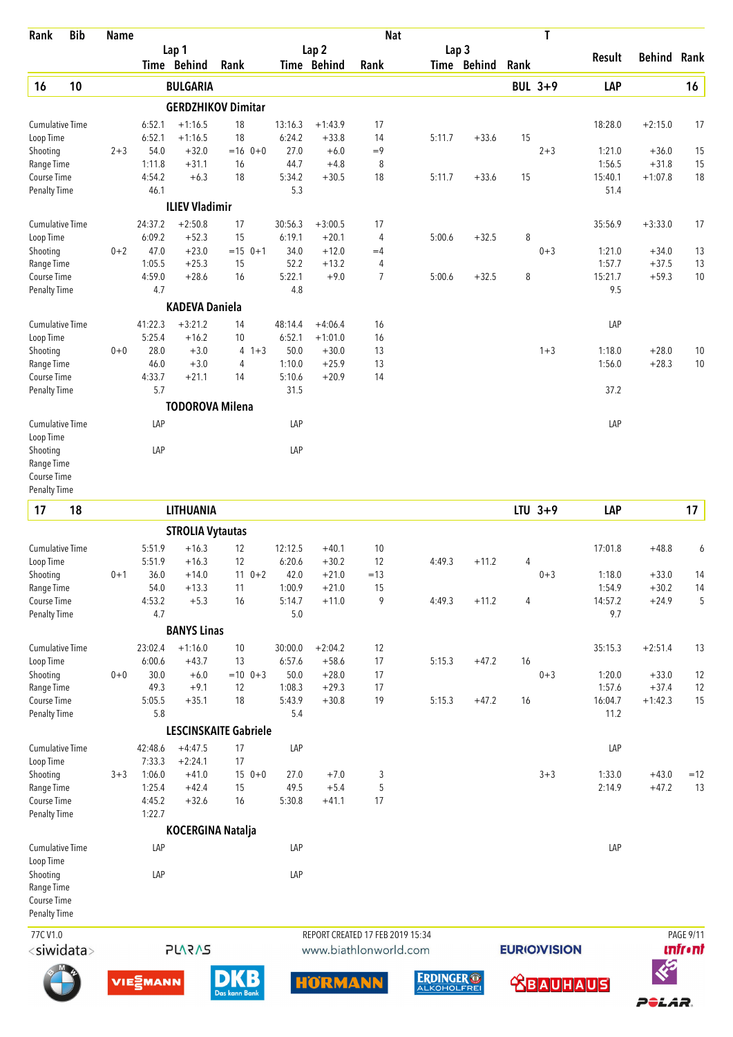| Rank                                | <b>Bib</b>            | <b>Name</b> |                   |                         |                              |                   |                        | <b>Nat</b>                       |                  |             |                | T                   |                   |               |                 |
|-------------------------------------|-----------------------|-------------|-------------------|-------------------------|------------------------------|-------------------|------------------------|----------------------------------|------------------|-------------|----------------|---------------------|-------------------|---------------|-----------------|
|                                     |                       |             |                   | Lap 1                   |                              |                   | Lap <sub>2</sub>       |                                  | Lap <sub>3</sub> |             |                |                     | Result            | <b>Behind</b> | Rank            |
|                                     |                       |             |                   | Time Behind             | Rank                         |                   | Time Behind            | Rank                             |                  | Time Behind | Rank           |                     |                   |               |                 |
| 16                                  | 10                    |             |                   | <b>BULGARIA</b>         |                              |                   |                        |                                  |                  |             |                | <b>BUL 3+9</b>      | LAP               |               | 16              |
|                                     |                       |             |                   |                         | <b>GERDZHIKOV Dimitar</b>    |                   |                        |                                  |                  |             |                |                     |                   |               |                 |
| <b>Cumulative Time</b>              |                       |             | 6:52.1            | $+1:16.5$               | 18                           | 13:16.3           | $+1:43.9$              | 17                               |                  |             |                |                     | 18:28.0           | $+2:15.0$     | 17              |
| Loop Time<br>Shooting               |                       | $2 + 3$     | 6:52.1<br>54.0    | $+1:16.5$<br>$+32.0$    | 18<br>$=16$ 0+0              | 6:24.2<br>27.0    | $+33.8$<br>$+6.0$      | 14<br>$=9$                       | 5:11.7           | $+33.6$     | 15             | $2 + 3$             | 1:21.0            | $+36.0$       | 15              |
| Range Time                          |                       |             | 1:11.8            | $+31.1$                 | 16                           | 44.7              | $+4.8$                 | 8                                |                  |             |                |                     | 1:56.5            | $+31.8$       | 15              |
| Course Time                         |                       |             | 4:54.2            | $+6.3$                  | 18                           | 5:34.2            | $+30.5$                | 18                               | 5:11.7           | $+33.6$     | 15             |                     | 15:40.1           | $+1:07.8$     | 18              |
| Penalty Time                        |                       |             | 46.1              |                         |                              | 5.3               |                        |                                  |                  |             |                |                     | 51.4              |               |                 |
|                                     |                       |             |                   | <b>ILIEV Vladimir</b>   |                              |                   |                        |                                  |                  |             |                |                     |                   |               |                 |
| <b>Cumulative Time</b><br>Loop Time |                       |             | 24:37.2<br>6:09.2 | $+2:50.8$<br>$+52.3$    | 17<br>15                     | 30:56.3<br>6:19.1 | $+3:00.5$<br>$+20.1$   | 17<br>4                          | 5:00.6           | $+32.5$     | 8              |                     | 35:56.9           | $+3:33.0$     | 17              |
| Shooting                            |                       | $0 + 2$     | 47.0              | $+23.0$                 | $=15$ 0+1                    | 34.0              | $+12.0$                | $=4$                             |                  |             |                | $0 + 3$             | 1:21.0            | $+34.0$       | 13              |
| Range Time                          |                       |             | 1:05.5            | $+25.3$                 | 15                           | 52.2              | $+13.2$                | 4                                |                  |             |                |                     | 1:57.7            | $+37.5$       | 13              |
| Course Time                         |                       |             | 4:59.0            | $+28.6$                 | 16                           | 5:22.1            | $+9.0$                 | $\overline{7}$                   | 5:00.6           | $+32.5$     | 8              |                     | 15:21.7           | $+59.3$       | $10$            |
| <b>Penalty Time</b>                 |                       |             | 4.7               |                         |                              | 4.8               |                        |                                  |                  |             |                |                     | 9.5               |               |                 |
|                                     |                       |             |                   | <b>KADEVA Daniela</b>   |                              |                   |                        |                                  |                  |             |                |                     |                   |               |                 |
| Cumulative Time<br>Loop Time        |                       |             | 41:22.3<br>5:25.4 | $+3:21.2$<br>$+16.2$    | 14<br>10                     | 48:14.4<br>6:52.1 | $+4:06.4$<br>$+1:01.0$ | 16<br>16                         |                  |             |                |                     | LAP               |               |                 |
| Shooting                            |                       | $0 + 0$     | 28.0              | $+3.0$                  | $4 + 3$                      | 50.0              | $+30.0$                | 13                               |                  |             |                | $1 + 3$             | 1:18.0            | $+28.0$       | 10              |
| Range Time                          |                       |             | 46.0              | $+3.0$                  | 4                            | 1:10.0            | $+25.9$                | 13                               |                  |             |                |                     | 1:56.0            | $+28.3$       | 10              |
| Course Time                         |                       |             | 4:33.7            | $+21.1$                 | 14                           | 5:10.6            | $+20.9$                | 14                               |                  |             |                |                     |                   |               |                 |
| Penalty Time                        |                       |             | 5.7               |                         |                              | 31.5              |                        |                                  |                  |             |                |                     | 37.2              |               |                 |
|                                     |                       |             |                   | <b>TODOROVA Milena</b>  |                              |                   |                        |                                  |                  |             |                |                     |                   |               |                 |
| <b>Cumulative Time</b><br>Loop Time |                       |             | LAP               |                         |                              | LAP               |                        |                                  |                  |             |                |                     | LAP               |               |                 |
| Shooting                            |                       |             | LAP               |                         |                              | LAP               |                        |                                  |                  |             |                |                     |                   |               |                 |
| Range Time                          |                       |             |                   |                         |                              |                   |                        |                                  |                  |             |                |                     |                   |               |                 |
| Course Time<br><b>Penalty Time</b>  |                       |             |                   |                         |                              |                   |                        |                                  |                  |             |                |                     |                   |               |                 |
| 17                                  | 18                    |             |                   | <b>LITHUANIA</b>        |                              |                   |                        |                                  |                  |             |                | $LTU$ 3+9           | LAP               |               | 17              |
|                                     |                       |             |                   | <b>STROLIA Vytautas</b> |                              |                   |                        |                                  |                  |             |                |                     |                   |               |                 |
| <b>Cumulative Time</b>              |                       |             | 5:51.9            | $+16.3$                 | 12                           | 12:12.5           | $+40.1$                | 10                               |                  |             |                |                     | 17:01.8           | $+48.8$       | 6               |
| Loop Time                           |                       |             | 5:51.9            | $+16.3$                 | 12                           | 6:20.6            | $+30.2$                | 12                               | 4:49.3           | $+11.2$     | 4              |                     |                   |               |                 |
| Shooting                            |                       | $0 + 1$     | 36.0              | $+14.0$                 | $11 \t 0+2$                  | 42.0              | $+21.0$                | $=13$                            |                  |             |                | $0 + 3$             | 1:18.0            | $+33.0$       | 14              |
| Range Time                          |                       |             | 54.0              | $+13.3$                 | 11                           | 1:00.9            | $+21.0$                | 15                               |                  |             |                |                     | 1:54.9            | $+30.2$       | 14              |
| Course Time<br><b>Penalty Time</b>  |                       |             | 4:53.2<br>4.7     | $+5.3$                  | 16                           | 5:14.7<br>5.0     | $+11.0$                | 9                                | 4:49.3           | $+11.2$     | $\overline{4}$ |                     | 14:57.2<br>9.7    | $+24.9$       | 5               |
|                                     |                       |             |                   | <b>BANYS Linas</b>      |                              |                   |                        |                                  |                  |             |                |                     |                   |               |                 |
| Cumulative Time                     |                       |             | 23:02.4           | $+1:16.0$               | 10                           | 30:00.0           | $+2:04.2$              | 12                               |                  |             |                |                     | 35:15.3           | $+2:51.4$     | 13              |
| Loop Time                           |                       |             | 6:00.6            | $+43.7$                 | 13                           | 6:57.6            | $+58.6$                | 17                               | 5:15.3           | $+47.2$     | 16             |                     |                   |               |                 |
| Shooting                            |                       | $0 + 0$     | 30.0              | $+6.0$                  | $=10$ 0+3                    | 50.0              | $+28.0$                | 17                               |                  |             |                | $0 + 3$             | 1:20.0            | $+33.0$       | 12              |
| Range Time                          |                       |             | 49.3              | $+9.1$<br>$+35.1$       | 12<br>18                     | 1:08.3            | $+29.3$                | 17<br>19                         |                  | $+47.2$     | 16             |                     | 1:57.6<br>16:04.7 | $+37.4$       | 12              |
| Course Time<br>Penalty Time         |                       |             | 5:05.5<br>5.8     |                         |                              | 5:43.9<br>5.4     | $+30.8$                |                                  | 5:15.3           |             |                |                     | 11.2              | $+1:42.3$     | 15              |
|                                     |                       |             |                   |                         | <b>LESCINSKAITE Gabriele</b> |                   |                        |                                  |                  |             |                |                     |                   |               |                 |
| Cumulative Time                     |                       |             | 42:48.6           | $+4:47.5$               | 17                           | LAP               |                        |                                  |                  |             |                |                     | LAP               |               |                 |
| Loop Time                           |                       |             | 7:33.3            | $+2:24.1$               | 17                           |                   |                        |                                  |                  |             |                |                     |                   |               |                 |
| Shooting                            |                       | $3 + 3$     | 1:06.0            | $+41.0$                 | $150+0$                      | 27.0              | $+7.0$                 | 3                                |                  |             |                | $3 + 3$             | 1:33.0            | $+43.0$       | $=12$           |
| Range Time<br>Course Time           |                       |             | 1:25.4<br>4:45.2  | $+42.4$<br>$+32.6$      | 15<br>16                     | 49.5<br>5:30.8    | $+5.4$<br>$+41.1$      | 5<br>17                          |                  |             |                |                     | 2:14.9            | $+47.2$       | 13              |
| Penalty Time                        |                       |             | 1:22.7            |                         |                              |                   |                        |                                  |                  |             |                |                     |                   |               |                 |
|                                     |                       |             |                   | KOCERGINA Natalja       |                              |                   |                        |                                  |                  |             |                |                     |                   |               |                 |
| <b>Cumulative Time</b>              |                       |             | LAP               |                         |                              | LAP               |                        |                                  |                  |             |                |                     | LAP               |               |                 |
| Loop Time<br>Shooting               |                       |             | LAP               |                         |                              | LAP               |                        |                                  |                  |             |                |                     |                   |               |                 |
| Range Time                          |                       |             |                   |                         |                              |                   |                        |                                  |                  |             |                |                     |                   |               |                 |
| Course Time                         |                       |             |                   |                         |                              |                   |                        |                                  |                  |             |                |                     |                   |               |                 |
| Penalty Time                        |                       |             |                   |                         |                              |                   |                        |                                  |                  |             |                |                     |                   |               |                 |
| 77CV1.0                             |                       |             |                   |                         |                              |                   |                        | REPORT CREATED 17 FEB 2019 15:34 |                  |             |                |                     |                   |               | PAGE 9/11       |
|                                     | <siwidata></siwidata> |             |                   | <b>PLARAS</b>           |                              |                   |                        | www.biathlonworld.com            |                  |             |                | <b>EURIO)VISION</b> |                   |               | <b>unfr</b> •nt |





 $\n **DKB**\n  
\n**Das kann Bank**\n  
\n\n **Onk**\n  
\n\n **Onk**\n  
\n\n **Onk**\n  
\n\n **Onk**\n  
\n\n **Onk**\n  
\n\n **Onk**\n  
\n\n **Onk**\n  
\n\n **Onk**\n  
\n\n **Onk**\n  
\n\n **Onk**\n  
\n\n **Onk**\n  
\n\n **Onk**\n  
\n\n **Onk**\n  
\n\n **Onk**\n  
\$ 





 **SBAUHAUS** 

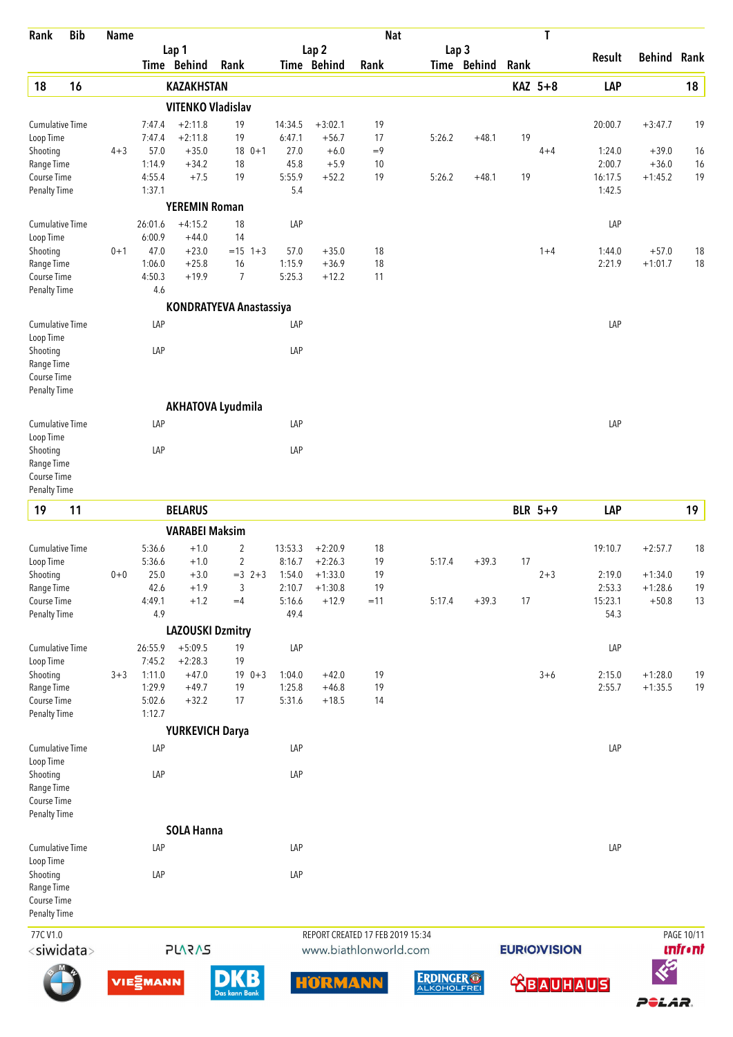| Rank                               | <b>Bib</b>            | <b>Name</b> |                            |                          |                                |                   |                        | <b>Nat</b>                       |                  |             |      | T                   |                   |                        |                |
|------------------------------------|-----------------------|-------------|----------------------------|--------------------------|--------------------------------|-------------------|------------------------|----------------------------------|------------------|-------------|------|---------------------|-------------------|------------------------|----------------|
|                                    |                       |             |                            | Lap 1                    |                                |                   | Lap <sub>2</sub>       |                                  | Lap <sub>3</sub> |             |      |                     | Result            | Behind Rank            |                |
|                                    |                       |             |                            | Time Behind              | Rank                           |                   | Time Behind            | Rank                             |                  | Time Behind | Rank |                     |                   |                        |                |
| 18                                 | 16                    |             |                            | <b>KAZAKHSTAN</b>        |                                |                   |                        |                                  |                  |             |      | KAZ 5+8             | LAP               |                        | 18             |
|                                    |                       |             |                            | <b>VITENKO Vladislav</b> |                                |                   |                        |                                  |                  |             |      |                     |                   |                        |                |
| Cumulative Time<br>Loop Time       |                       |             | 7:47.4<br>7:47.4           | $+2:11.8$<br>$+2:11.8$   | 19<br>19                       | 14:34.5<br>6:47.1 | $+3:02.1$<br>$+56.7$   | 19<br>17                         | 5:26.2           | $+48.1$     | 19   |                     | 20:00.7           | $+3:47.7$              | 19             |
| Shooting                           |                       | $4 + 3$     | 57.0                       | $+35.0$                  | $180+1$                        | 27.0              | $+6.0$                 | $=9$                             |                  |             |      | $4 + 4$             | 1:24.0            | $+39.0$                | 16             |
| Range Time<br>Course Time          |                       |             | 1:14.9<br>4:55.4           | $+34.2$<br>$+7.5$        | 18<br>19                       | 45.8<br>5:55.9    | $+5.9$<br>$+52.2$      | 10<br>19                         | 5:26.2           | $+48.1$     | 19   |                     | 2:00.7<br>16:17.5 | $+36.0$<br>$+1:45.2$   | 16<br>19       |
| <b>Penalty Time</b>                |                       |             | 1:37.1                     |                          |                                | 5.4               |                        |                                  |                  |             |      |                     | 1:42.5            |                        |                |
|                                    |                       |             |                            | <b>YEREMIN Roman</b>     |                                |                   |                        |                                  |                  |             |      |                     |                   |                        |                |
| <b>Cumulative Time</b>             |                       |             | 26:01.6                    | $+4:15.2$                | 18                             | LAP               |                        |                                  |                  |             |      |                     | LAP               |                        |                |
| Loop Time<br>Shooting              |                       | $0 + 1$     | 6:00.9<br>47.0             | $+44.0$<br>$+23.0$       | 14<br>$= 15$ 1+3               | 57.0              | $+35.0$                | 18                               |                  |             |      | $1+4$               | 1:44.0            | $+57.0$                | 18             |
| Range Time                         |                       |             | 1:06.0                     | $+25.8$                  | 16                             | 1:15.9            | $+36.9$                | 18                               |                  |             |      |                     | 2:21.9            | $+1:01.7$              | 18             |
| Course Time                        |                       |             | 4:50.3<br>4.6              | $+19.9$                  | 7                              | 5:25.3            | $+12.2$                | 11                               |                  |             |      |                     |                   |                        |                |
| <b>Penalty Time</b>                |                       |             |                            |                          | <b>KONDRATYEVA Anastassiya</b> |                   |                        |                                  |                  |             |      |                     |                   |                        |                |
| <b>Cumulative Time</b>             |                       |             | LAP                        |                          |                                | LAP               |                        |                                  |                  |             |      |                     | LAP               |                        |                |
| Loop Time                          |                       |             |                            |                          |                                |                   |                        |                                  |                  |             |      |                     |                   |                        |                |
| Shooting<br>Range Time             |                       |             | LAP                        |                          |                                | LAP               |                        |                                  |                  |             |      |                     |                   |                        |                |
| Course Time                        |                       |             |                            |                          |                                |                   |                        |                                  |                  |             |      |                     |                   |                        |                |
| <b>Penalty Time</b>                |                       |             |                            |                          |                                |                   |                        |                                  |                  |             |      |                     |                   |                        |                |
|                                    |                       |             |                            |                          | <b>AKHATOVA Lyudmila</b>       |                   |                        |                                  |                  |             |      |                     |                   |                        |                |
| Cumulative Time<br>Loop Time       |                       |             | LAP                        |                          |                                | LAP               |                        |                                  |                  |             |      |                     | LAP               |                        |                |
| Shooting                           |                       |             | LAP                        |                          |                                | LAP               |                        |                                  |                  |             |      |                     |                   |                        |                |
| Range Time<br>Course Time          |                       |             |                            |                          |                                |                   |                        |                                  |                  |             |      |                     |                   |                        |                |
| <b>Penalty Time</b>                |                       |             |                            |                          |                                |                   |                        |                                  |                  |             |      |                     |                   |                        |                |
| 19                                 | 11                    |             |                            | <b>BELARUS</b>           |                                |                   |                        |                                  |                  |             |      | BLR 5+9             | LAP               |                        | 19             |
|                                    |                       |             |                            | <b>VARABEI Maksim</b>    |                                |                   |                        |                                  |                  |             |      |                     |                   |                        |                |
| Cumulative Time                    |                       |             | 5:36.6                     | $+1.0$                   | 2                              | 13:53.3           | $+2:20.9$              | 18                               |                  |             |      |                     | 19:10.7           | $+2:57.7$              | 18             |
| Loop Time<br>Shooting              |                       | $0+0$       | 5:36.6<br>25.0             | $+1.0$<br>$+3.0$         | $\overline{2}$<br>$=3$ 2+3     | 8:16.7<br>1:54.0  | $+2:26.3$<br>$+1:33.0$ | 19<br>19                         | 5:17.4           | $+39.3$     | 17   | $2 + 3$             | 2:19.0            | $+1:34.0$              | 19             |
| Range Time                         |                       |             | 42.6                       | $+1.9$                   | 3                              | 2:10.7            | $+1:30.8$              | 19                               |                  |             |      |                     | 2:53.3            | $+1:28.6$              | 19             |
| Course Time<br><b>Penalty Time</b> |                       |             | 4:49.1<br>4.9              | $+1.2$                   | $=4$                           | 5:16.6<br>49.4    | $+12.9$                | $=11$                            | 5:17.4           | $+39.3$     | 17   |                     | 15:23.1<br>54.3   | $+50.8$                | 13             |
|                                    |                       |             |                            | <b>LAZOUSKI Dzmitry</b>  |                                |                   |                        |                                  |                  |             |      |                     |                   |                        |                |
| Cumulative Time                    |                       |             | 26:55.9                    | $+5:09.5$                | 19                             | LAP               |                        |                                  |                  |             |      |                     | LAP               |                        |                |
| Loop Time                          |                       |             | 7:45.2                     | $+2:28.3$                | 19                             |                   |                        |                                  |                  |             |      |                     |                   |                        |                |
| Shooting<br>Range Time             |                       | $3 + 3$     | 1:11.0<br>1:29.9           | $+47.0$<br>$+49.7$       | $190+3$<br>19                  | 1:04.0<br>1:25.8  | $+42.0$<br>$+46.8$     | 19<br>19                         |                  |             |      | $3 + 6$             | 2:15.0<br>2:55.7  | $+1:28.0$<br>$+1:35.5$ | 19<br>19       |
| Course Time                        |                       |             | 5:02.6                     | $+32.2$                  | 17                             | 5:31.6            | $+18.5$                | 14                               |                  |             |      |                     |                   |                        |                |
| <b>Penalty Time</b>                |                       |             | 1:12.7                     |                          |                                |                   |                        |                                  |                  |             |      |                     |                   |                        |                |
|                                    |                       |             |                            | <b>YURKEVICH Darya</b>   |                                |                   |                        |                                  |                  |             |      |                     |                   |                        |                |
| Cumulative Time<br>Loop Time       |                       |             | LAP                        |                          |                                | LAP               |                        |                                  |                  |             |      |                     | LAP               |                        |                |
| Shooting                           |                       |             | LAP                        |                          |                                | LAP               |                        |                                  |                  |             |      |                     |                   |                        |                |
| Range Time<br>Course Time          |                       |             |                            |                          |                                |                   |                        |                                  |                  |             |      |                     |                   |                        |                |
| Penalty Time                       |                       |             |                            |                          |                                |                   |                        |                                  |                  |             |      |                     |                   |                        |                |
|                                    |                       |             |                            | <b>SOLA Hanna</b>        |                                |                   |                        |                                  |                  |             |      |                     |                   |                        |                |
| Cumulative Time                    |                       |             | LAP                        |                          |                                | LAP               |                        |                                  |                  |             |      |                     | LAP               |                        |                |
| Loop Time<br>Shooting              |                       |             | LAP                        |                          |                                | LAP               |                        |                                  |                  |             |      |                     |                   |                        |                |
| Range Time                         |                       |             |                            |                          |                                |                   |                        |                                  |                  |             |      |                     |                   |                        |                |
| Course Time<br>Penalty Time        |                       |             |                            |                          |                                |                   |                        |                                  |                  |             |      |                     |                   |                        |                |
| 77CV1.0                            |                       |             |                            |                          |                                |                   |                        | REPORT CREATED 17 FEB 2019 15:34 |                  |             |      |                     |                   |                        | PAGE 10/11     |
|                                    | <siwidata></siwidata> |             |                            | <b>PLARAS</b>            |                                |                   |                        | www.biathlonworld.com            |                  |             |      | <b>EURIO)VISION</b> |                   |                        | <b>unfront</b> |
|                                    |                       |             |                            |                          |                                |                   |                        |                                  |                  |             |      |                     |                   | $\bm{\hat{\varsigma}}$ |                |
|                                    |                       |             | <b>VIE<sup>S</sup>MANN</b> |                          | <b>DKB</b>                     |                   |                        |                                  | <b>ERDINGER®</b> |             |      |                     | <b>ARAMINANS</b>  |                        |                |

**ERDINGER OF** 

**SBAUHAUS** 

POLAR.

 $\n **DKB**\n  
\n**Das kann Bank**\n  
\n\n **Onk**\n  
\n\n **Onk**\n  
\n\n **Onk**\n  
\n\n **Onk**\n  
\n\n **Onk**\n  
\n\n **Onk**\n  
\n\n **Onk**\n  
\n\n **Onk**\n  
\n\n **Onk**\n  
\n\n **Onk**\n  
\n\n **Onk**\n  
\n\n **Onk**\n  
\n\n **Onk**\n  
\n\n **Onk**\n  
\$ 

**HORMANN** 

**COLLEGE** 

VIESMANN